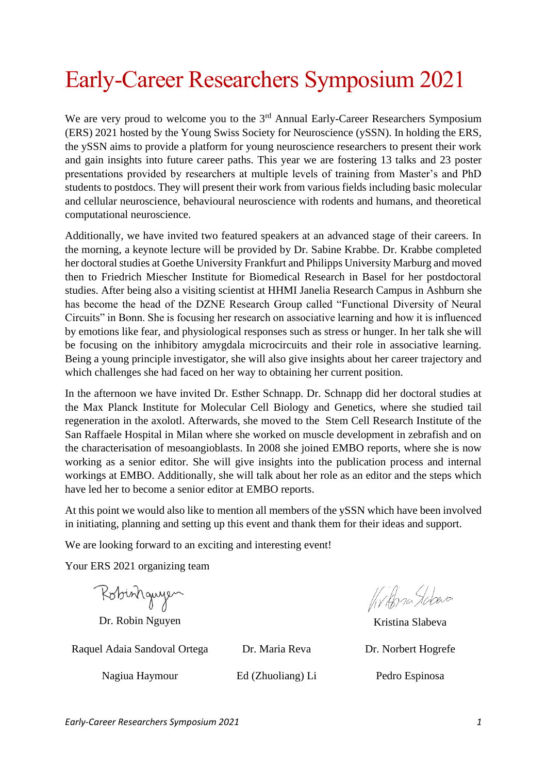# Early-Career Researchers Symposium 2021

We are very proud to welcome you to the 3<sup>rd</sup> Annual Early-Career Researchers Symposium (ERS) 2021 hosted by the Young Swiss Society for Neuroscience (ySSN). In holding the ERS, the ySSN aims to provide a platform for young neuroscience researchers to present their work and gain insights into future career paths. This year we are fostering 13 talks and 23 poster presentations provided by researchers at multiple levels of training from Master's and PhD students to postdocs. They will present their work from various fields including basic molecular and cellular neuroscience, behavioural neuroscience with rodents and humans, and theoretical computational neuroscience.

Additionally, we have invited two featured speakers at an advanced stage of their careers. In the morning, a keynote lecture will be provided by Dr. Sabine Krabbe. Dr. Krabbe completed her doctoral studies at Goethe University Frankfurt and Philipps University Marburg and moved then to Friedrich Miescher Institute for Biomedical Research in Basel for her postdoctoral studies. After being also a visiting scientist at HHMI Janelia Research Campus in Ashburn she has become the head of the DZNE Research Group called "Functional Diversity of Neural Circuits" in Bonn. She is focusing her research on associative learning and how it is influenced by emotions like fear, and physiological responses such as stress or hunger. In her talk she will be focusing on the inhibitory amygdala microcircuits and their role in associative learning. Being a young principle investigator, she will also give insights about her career trajectory and which challenges she had faced on her way to obtaining her current position.

In the afternoon we have invited Dr. Esther Schnapp. Dr. Schnapp did her doctoral studies at the Max Planck Institute for Molecular Cell Biology and Genetics, where she studied tail regeneration in the axolotl. Afterwards, she moved to the Stem Cell Research Institute of the San Raffaele Hospital in Milan where she worked on muscle development in zebrafish and on the characterisation of mesoangioblasts. In 2008 she joined EMBO reports, where she is now working as a senior editor. She will give insights into the publication process and internal workings at EMBO. Additionally, she will talk about her role as an editor and the steps which have led her to become a senior editor at EMBO reports.

At this point we would also like to mention all members of the ySSN which have been involved in initiating, planning and setting up this event and thank them for their ideas and support.

We are looking forward to an exciting and interesting event!

Your ERS 2021 organizing team

Robinhguyen

Dr. Robin Nguyen Kristina Slabeva

Raquel Adaia Sandoval Ortega Dr. Maria Reva Dr. Norbert Hogrefe

Nagiua Haymour Ed (Zhuoliang) Li Pedro Espinosa

Wilby Labera

*Early-Career Researchers Symposium 2021 1*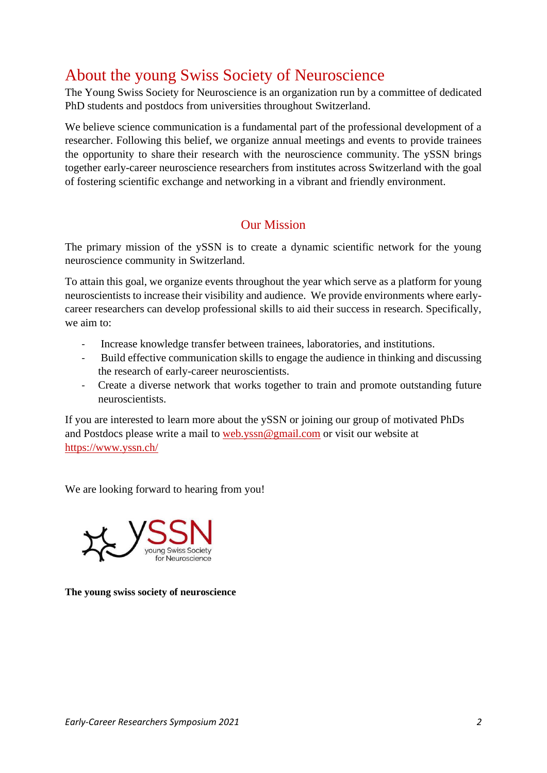# About the young Swiss Society of Neuroscience

The Young Swiss Society for Neuroscience is an organization run by a committee of dedicated PhD students and postdocs from universities throughout Switzerland.

We believe science communication is a fundamental part of the professional development of a researcher. Following this belief, we organize annual meetings and events to provide trainees the opportunity to share their research with the neuroscience community. The ySSN brings together early-career neuroscience researchers from institutes across Switzerland with the goal of fostering scientific exchange and networking in a vibrant and friendly environment.

## Our Mission

The primary mission of the ySSN is to create a dynamic scientific network for the young neuroscience community in Switzerland.

To attain this goal, we organize events throughout the year which serve as a platform for young neuroscientists to increase their visibility and audience. We provide environments where earlycareer researchers can develop professional skills to aid their success in research. Specifically, we aim to:

- Increase knowledge transfer between trainees, laboratories, and institutions.
- Build effective communication skills to engage the audience in thinking and discussing the research of early-career neuroscientists.
- Create a diverse network that works together to train and promote outstanding future neuroscientists.

If you are interested to learn more about the ySSN or joining our group of motivated PhDs and Postdocs please write a mail to [web.yssn@gmail.com](mailto:web.yssn@gmail.com) or visit our website at <https://www.yssn.ch/>

We are looking forward to hearing from you!



**The young swiss society of neuroscience**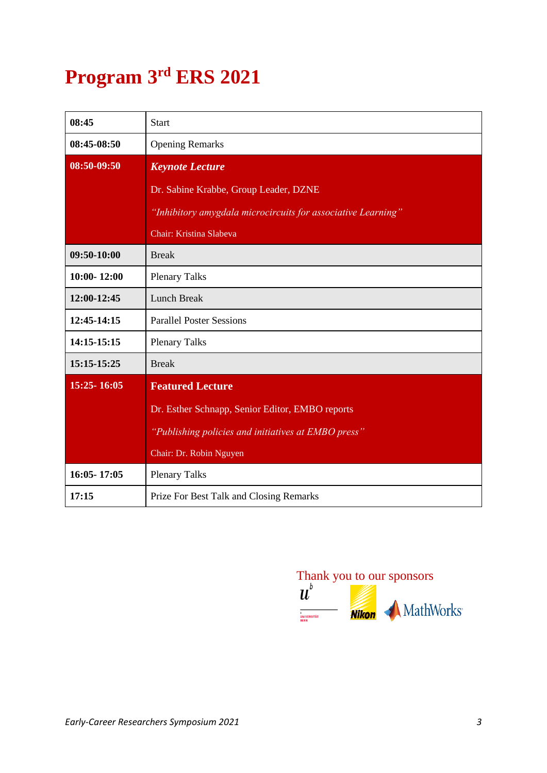# **Program 3rd ERS 2021**

| 08:45           | <b>Start</b>                                                 |  |  |
|-----------------|--------------------------------------------------------------|--|--|
| 08:45-08:50     | <b>Opening Remarks</b>                                       |  |  |
| 08:50-09:50     | <b>Keynote Lecture</b>                                       |  |  |
|                 | Dr. Sabine Krabbe, Group Leader, DZNE                        |  |  |
|                 | "Inhibitory amygdala microcircuits for associative Learning" |  |  |
|                 | Chair: Kristina Slabeva                                      |  |  |
| 09:50-10:00     | <b>Break</b>                                                 |  |  |
| $10:00 - 12:00$ | <b>Plenary Talks</b>                                         |  |  |
| 12:00-12:45     | <b>Lunch Break</b>                                           |  |  |
| 12:45-14:15     | <b>Parallel Poster Sessions</b>                              |  |  |
| 14:15-15:15     | <b>Plenary Talks</b>                                         |  |  |
| 15:15-15:25     | <b>Break</b>                                                 |  |  |
| 15:25-16:05     | <b>Featured Lecture</b>                                      |  |  |
|                 | Dr. Esther Schnapp, Senior Editor, EMBO reports              |  |  |
|                 | "Publishing policies and initiatives at EMBO press"          |  |  |
|                 | Chair: Dr. Robin Nguyen                                      |  |  |
| 16:05-17:05     | <b>Plenary Talks</b>                                         |  |  |
| 17:15           | Prize For Best Talk and Closing Remarks                      |  |  |

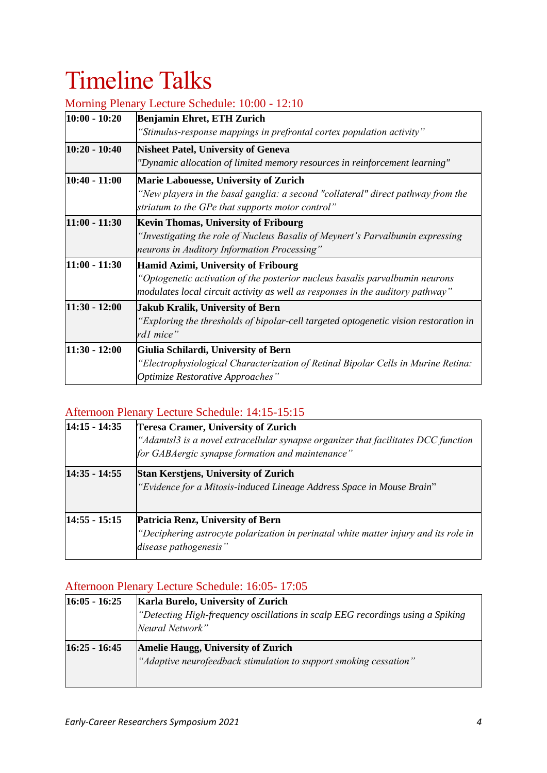# Timeline Talks

| $10:00 - 10:20$ | $\ddot{\phantom{0}}$<br>Benjamin Ehret, ETH Zurich                                                                                                                                                    |
|-----------------|-------------------------------------------------------------------------------------------------------------------------------------------------------------------------------------------------------|
|                 | "Stimulus-response mappings in prefrontal cortex population activity"                                                                                                                                 |
| $10:20 - 10:40$ | <b>Nisheet Patel, University of Geneva</b><br>"Dynamic allocation of limited memory resources in reinforcement learning"                                                                              |
| $10:40 - 11:00$ | <b>Marie Labouesse, University of Zurich</b><br>"New players in the basal ganglia: a second "collateral" direct pathway from the<br>striatum to the GPe that supports motor control"                  |
| $11:00 - 11:30$ | <b>Kevin Thomas, University of Fribourg</b><br>"Investigating the role of Nucleus Basalis of Meynert's Parvalbumin expressing<br>neurons in Auditory Information Processing"                          |
| $11:00 - 11:30$ | Hamid Azimi, University of Fribourg<br>"Optogenetic activation of the posterior nucleus basalis parvalbumin neurons<br>modulates local circuit activity as well as responses in the auditory pathway" |
| $11:30 - 12:00$ | Jakub Kralik, University of Bern<br>"Exploring the thresholds of bipolar-cell targeted optogenetic vision restoration in<br>rd1 mice"                                                                 |
| $11:30 - 12:00$ | Giulia Schilardi, University of Bern<br>"Electrophysiological Characterization of Retinal Bipolar Cells in Murine Retina:<br>Optimize Restorative Approaches"                                         |

#### Morning Plenary Lecture Schedule: 10:00 - 12:10

## Afternoon Plenary Lecture Schedule: 14:15-15:15

| $14:15 - 14:35$ | <b>Teresa Cramer, University of Zurich</b><br>"Adamtsl3 is a novel extracellular synapse organizer that facilitates DCC function<br>for GABAergic synapse formation and maintenance" |  |  |
|-----------------|--------------------------------------------------------------------------------------------------------------------------------------------------------------------------------------|--|--|
| $14:35 - 14:55$ | <b>Stan Kerstjens, University of Zurich</b><br>"Evidence for a Mitosis-induced Lineage Address Space in Mouse Brain"                                                                 |  |  |
| $14:55 - 15:15$ | Patricia Renz, University of Bern<br>"Deciphering astrocyte polarization in perinatal white matter injury and its role in<br>disease pathogenesis"                                   |  |  |

## Afternoon Plenary Lecture Schedule: 16:05- 17:05

| <b>Karla Burelo, University of Zurich</b>                                      |  |  |  |
|--------------------------------------------------------------------------------|--|--|--|
| "Detecting High-frequency oscillations in scalp EEG recordings using a Spiking |  |  |  |
| Neural Network"                                                                |  |  |  |
| <b>Amelie Haugg, University of Zurich</b>                                      |  |  |  |
| "Adaptive neurofeedback stimulation to support smoking cessation"              |  |  |  |
|                                                                                |  |  |  |
|                                                                                |  |  |  |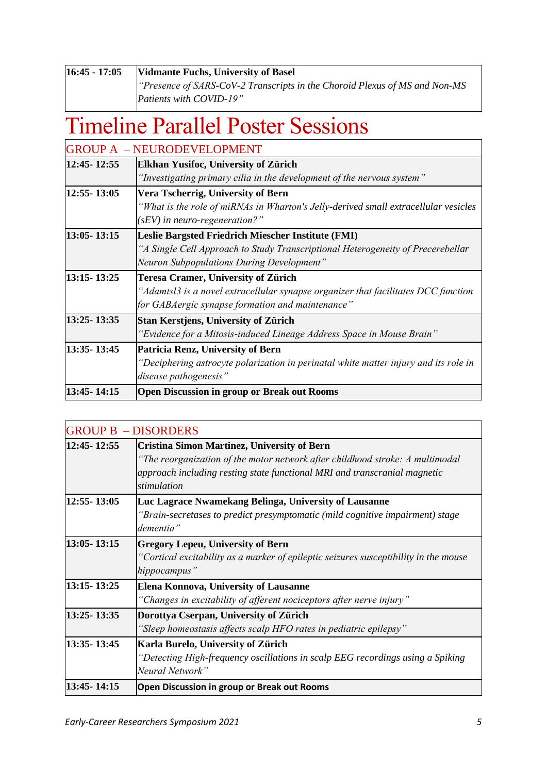| $16:45 - 17:05$ | Vidmante Fuchs, University of Basel                                       |  |  |  |
|-----------------|---------------------------------------------------------------------------|--|--|--|
|                 | Presence of SARS-CoV-2 Transcripts in the Choroid Plexus of MS and Non-MS |  |  |  |
|                 | Patients with COVID-19"                                                   |  |  |  |

# Timeline Parallel Poster Sessions

|               | <b>GROUP A - NEURODEVELOPMENT</b>                                                    |  |  |
|---------------|--------------------------------------------------------------------------------------|--|--|
| 12:45-12:55   | Elkhan Yusifoc, University of Zürich                                                 |  |  |
|               | "Investigating primary cilia in the development of the nervous system"               |  |  |
| 12:55-13:05   | Vera Tscherrig, University of Bern                                                   |  |  |
|               | "What is the role of miRNAs in Wharton's Jelly-derived small extracellular vesicles  |  |  |
|               | $(sEV)$ in neuro-regeneration?"                                                      |  |  |
| 13:05-13:15   | Leslie Bargsted Friedrich Miescher Institute (FMI)                                   |  |  |
|               | "A Single Cell Approach to Study Transcriptional Heterogeneity of Precerebellar      |  |  |
|               | Neuron Subpopulations During Development"                                            |  |  |
|               |                                                                                      |  |  |
| 13:15 - 13:25 | <b>Teresa Cramer, University of Zürich</b>                                           |  |  |
|               | "Adamtsl3 is a novel extracellular synapse organizer that facilitates DCC function   |  |  |
|               | for GABAergic synapse formation and maintenance"                                     |  |  |
| 13:25-13:35   | Stan Kerstjens, University of Zürich                                                 |  |  |
|               | "Evidence for a Mitosis-induced Lineage Address Space in Mouse Brain"                |  |  |
| 13:35-13:45   | Patricia Renz, University of Bern                                                    |  |  |
|               | "Deciphering astrocyte polarization in perinatal white matter injury and its role in |  |  |
|               | disease pathogenesis"                                                                |  |  |

|                 | <b>GROUP B - DISORDERS</b>                                                                                                                                                                                                      |
|-----------------|---------------------------------------------------------------------------------------------------------------------------------------------------------------------------------------------------------------------------------|
| 12:45-12:55     | <b>Cristina Simon Martinez, University of Bern</b><br>"The reorganization of the motor network after childhood stroke: A multimodal<br>approach including resting state functional MRI and transcranial magnetic<br>stimulation |
| 12:55-13:05     | Luc Lagrace Nwamekang Belinga, University of Lausanne<br>"Brain-secretases to predict presymptomatic (mild cognitive impairment) stage<br>dementia"                                                                             |
| $13:05 - 13:15$ | <b>Gregory Lepeu, University of Bern</b><br>"Cortical excitability as a marker of epileptic seizures susceptibility in the mouse<br>hippocampus"                                                                                |
| 13:15-13:25     | Elena Konnova, University of Lausanne<br>"Changes in excitability of afferent nociceptors after nerve injury"                                                                                                                   |
| 13:25 - 13:35   | Dorottya Cserpan, University of Zürich<br>"Sleep homeostasis affects scalp HFO rates in pediatric epilepsy"                                                                                                                     |
| 13:35-13:45     | Karla Burelo, University of Zürich<br>"Detecting High-frequency oscillations in scalp EEG recordings using a Spiking<br>Neural Network"                                                                                         |
| 13:45-14:15     | <b>Open Discussion in group or Break out Rooms</b>                                                                                                                                                                              |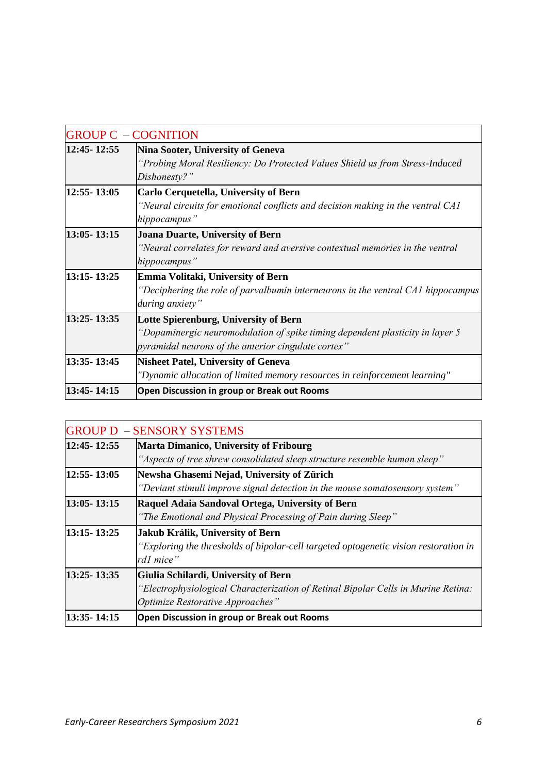|               | <b>GROUP C - COGNITION</b>                                                                                                                                                    |
|---------------|-------------------------------------------------------------------------------------------------------------------------------------------------------------------------------|
| 12:45-12:55   | Nina Sooter, University of Geneva<br>"Probing Moral Resiliency: Do Protected Values Shield us from Stress-Induced<br>Dishonesty?"                                             |
| 12:55-13:05   | <b>Carlo Cerquetella, University of Bern</b><br>"Neural circuits for emotional conflicts and decision making in the ventral CA1<br>hippocampus"                               |
| 13:05-13:15   | Joana Duarte, University of Bern<br>"Neural correlates for reward and aversive contextual memories in the ventral<br>hippocampus"                                             |
| 13:15 - 13:25 | Emma Volitaki, University of Bern<br>"Deciphering the role of parvalbumin interneurons in the ventral $CA1$ hippocampus<br>during anxiety"                                    |
| 13:25-13:35   | Lotte Spierenburg, University of Bern<br>"Dopaminergic neuromodulation of spike timing dependent plasticity in layer 5<br>pyramidal neurons of the anterior cingulate cortex" |
| 13:35-13:45   | <b>Nisheet Patel, University of Geneva</b><br>"Dynamic allocation of limited memory resources in reinforcement learning"                                                      |
| 13:45-14:15   | <b>Open Discussion in group or Break out Rooms</b>                                                                                                                            |

|                 | <b>GROUP D - SENSORY SYSTEMS</b>                                                     |  |  |
|-----------------|--------------------------------------------------------------------------------------|--|--|
| 12:45-12:55     | <b>Marta Dimanico, University of Fribourg</b>                                        |  |  |
|                 | "Aspects of tree shrew consolidated sleep structure resemble human sleep"            |  |  |
| $12:55 - 13:05$ | Newsha Ghasemi Nejad, University of Zürich                                           |  |  |
|                 | "Deviant stimuli improve signal detection in the mouse somatosensory system"         |  |  |
| $13:05 - 13:15$ | Raquel Adaia Sandoval Ortega, University of Bern                                     |  |  |
|                 | "The Emotional and Physical Processing of Pain during Sleep"                         |  |  |
| 13:15 - 13:25   | Jakub Králik, University of Bern                                                     |  |  |
|                 | "Exploring the thresholds of bipolar-cell targeted optogenetic vision restoration in |  |  |
|                 | rd1 mice"                                                                            |  |  |
| 13:25-13:35     | Giulia Schilardi, University of Bern                                                 |  |  |
|                 | "Electrophysiological Characterization of Retinal Bipolar Cells in Murine Retina:    |  |  |
|                 | Optimize Restorative Approaches"                                                     |  |  |
| 13:35-14:15     | Open Discussion in group or Break out Rooms                                          |  |  |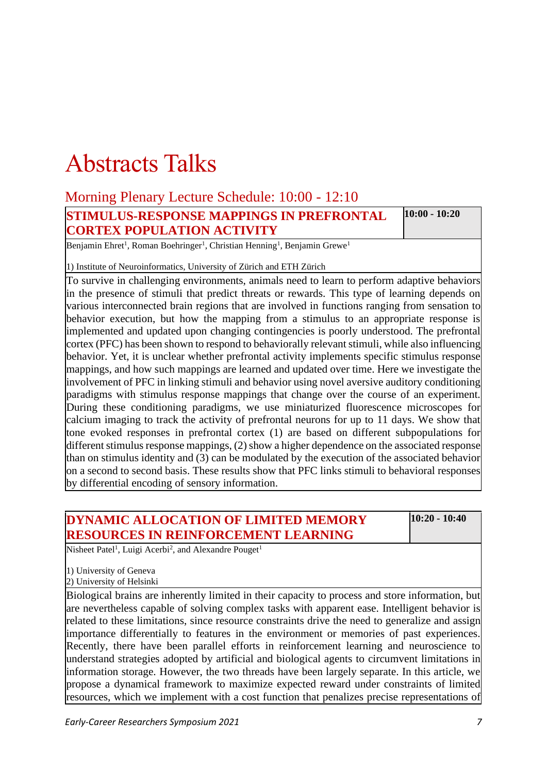# Abstracts Talks

## Morning Plenary Lecture Schedule: 10:00 - 12:10

|  | <b>STIMULUS-RESPONSE MAPPINGS IN PREFRONTAL</b> | $10:00 - 10:20$ |
|--|-------------------------------------------------|-----------------|
|  | <b>CORTEX POPULATION ACTIVITY</b>               |                 |
|  |                                                 |                 |

Benjamin Ehret<sup>1</sup>, Roman Boehringer<sup>1</sup>, Christian Henning<sup>1</sup>, Benjamin Grewe<sup>1</sup>

1) Institute of Neuroinformatics, University of Zürich and ETH Zürich

To survive in challenging environments, animals need to learn to perform adaptive behaviors in the presence of stimuli that predict threats or rewards. This type of learning depends on various interconnected brain regions that are involved in functions ranging from sensation to behavior execution, but how the mapping from a stimulus to an appropriate response is implemented and updated upon changing contingencies is poorly understood. The prefrontal cortex (PFC) has been shown to respond to behaviorally relevant stimuli, while also influencing behavior. Yet, it is unclear whether prefrontal activity implements specific stimulus response mappings, and how such mappings are learned and updated over time. Here we investigate the involvement of PFC in linking stimuli and behavior using novel aversive auditory conditioning paradigms with stimulus response mappings that change over the course of an experiment. During these conditioning paradigms, we use miniaturized fluorescence microscopes for calcium imaging to track the activity of prefrontal neurons for up to 11 days. We show that tone evoked responses in prefrontal cortex (1) are based on different subpopulations for different stimulus response mappings, (2) show a higher dependence on the associated response than on stimulus identity and (3) can be modulated by the execution of the associated behavior on a second to second basis. These results show that PFC links stimuli to behavioral responses by differential encoding of sensory information.

## **DYNAMIC ALLOCATION OF LIMITED MEMORY RESOURCES IN REINFORCEMENT LEARNING**

**10:20 - 10:40**

Nisheet Patel<sup>1</sup>, Luigi Acerbi<sup>2</sup>, and Alexandre Pouget<sup>1</sup>

1) University of Geneva

2) University of Helsinki

Biological brains are inherently limited in their capacity to process and store information, but are nevertheless capable of solving complex tasks with apparent ease. Intelligent behavior is related to these limitations, since resource constraints drive the need to generalize and assign importance differentially to features in the environment or memories of past experiences. Recently, there have been parallel efforts in reinforcement learning and neuroscience to understand strategies adopted by artificial and biological agents to circumvent limitations in information storage. However, the two threads have been largely separate. In this article, we propose a dynamical framework to maximize expected reward under constraints of limited resources, which we implement with a cost function that penalizes precise representations of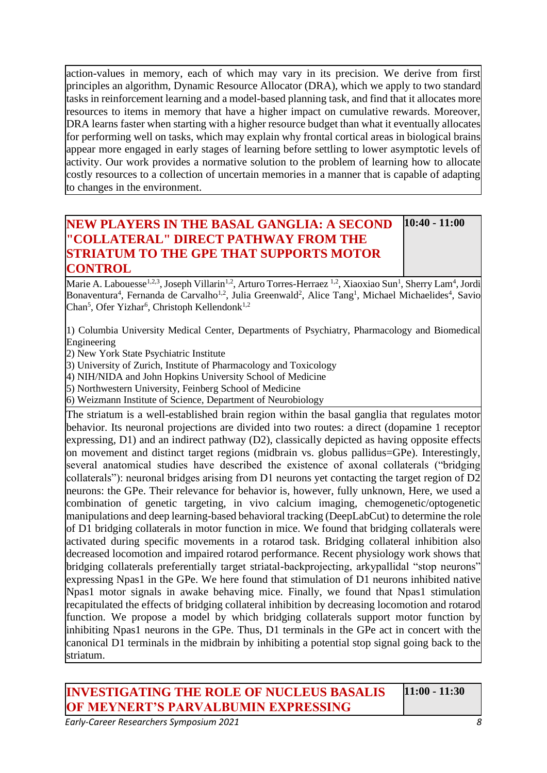action-values in memory, each of which may vary in its precision. We derive from first principles an algorithm, Dynamic Resource Allocator (DRA), which we apply to two standard tasks in reinforcement learning and a model-based planning task, and find that it allocates more resources to items in memory that have a higher impact on cumulative rewards. Moreover, DRA learns faster when starting with a higher resource budget than what it eventually allocates for performing well on tasks, which may explain why frontal cortical areas in biological brains appear more engaged in early stages of learning before settling to lower asymptotic levels of activity. Our work provides a normative solution to the problem of learning how to allocate costly resources to a collection of uncertain memories in a manner that is capable of adapting to changes in the environment.

#### **NEW PLAYERS IN THE BASAL GANGLIA: A SECOND "COLLATERAL" DIRECT PATHWAY FROM THE STRIATUM TO THE GPE THAT SUPPORTS MOTOR CONTROL 10:40 - 11:00**

Marie A. Labouesse<sup>1,2,3</sup>, Joseph Villarin<sup>1,2</sup>, Arturo Torres-Herraez <sup>1,2</sup>, Xiaoxiao Sun<sup>1</sup>, Sherry Lam<sup>4</sup>, Jordi Bonaventura<sup>4</sup>, Fernanda de Carvalho<sup>1,2</sup>, Julia Greenwald<sup>2</sup>, Alice Tang<sup>1</sup>, Michael Michaelides<sup>4</sup>, Savio Chan<sup>5</sup>, Ofer Yizhar<sup>6</sup>, Christoph Kellendonk<sup>1,2</sup>

1) Columbia University Medical Center, Departments of Psychiatry, Pharmacology and Biomedical Engineering

2) New York State Psychiatric Institute

3) University of Zurich, Institute of Pharmacology and Toxicology

4) NIH/NIDA and John Hopkins University School of Medicine

5) Northwestern University, Feinberg School of Medicine

6) Weizmann Institute of Science, Department of Neurobiology

The striatum is a well-established brain region within the basal ganglia that regulates motor behavior. Its neuronal projections are divided into two routes: a direct (dopamine 1 receptor expressing, D1) and an indirect pathway (D2), classically depicted as having opposite effects on movement and distinct target regions (midbrain vs. globus pallidus=GPe). Interestingly, several anatomical studies have described the existence of axonal collaterals ("bridging collaterals"): neuronal bridges arising from D1 neurons yet contacting the target region of D2 neurons: the GPe. Their relevance for behavior is, however, fully unknown, Here, we used a combination of genetic targeting, in vivo calcium imaging, chemogenetic/optogenetic manipulations and deep learning-based behavioral tracking (DeepLabCut) to determine the role of D1 bridging collaterals in motor function in mice. We found that bridging collaterals were activated during specific movements in a rotarod task. Bridging collateral inhibition also decreased locomotion and impaired rotarod performance. Recent physiology work shows that bridging collaterals preferentially target striatal-backprojecting, arkypallidal "stop neurons" expressing Npas1 in the GPe. We here found that stimulation of D1 neurons inhibited native Npas1 motor signals in awake behaving mice. Finally, we found that Npas1 stimulation recapitulated the effects of bridging collateral inhibition by decreasing locomotion and rotarod function. We propose a model by which bridging collaterals support motor function by inhibiting Npas1 neurons in the GPe. Thus, D1 terminals in the GPe act in concert with the canonical D1 terminals in the midbrain by inhibiting a potential stop signal going back to the striatum.

**INVESTIGATING THE ROLE OF NUCLEUS BASALIS OF MEYNERT'S PARVALBUMIN EXPRESSING** 

**11:00 - 11:30**

*Early-Career Researchers Symposium 2021 8*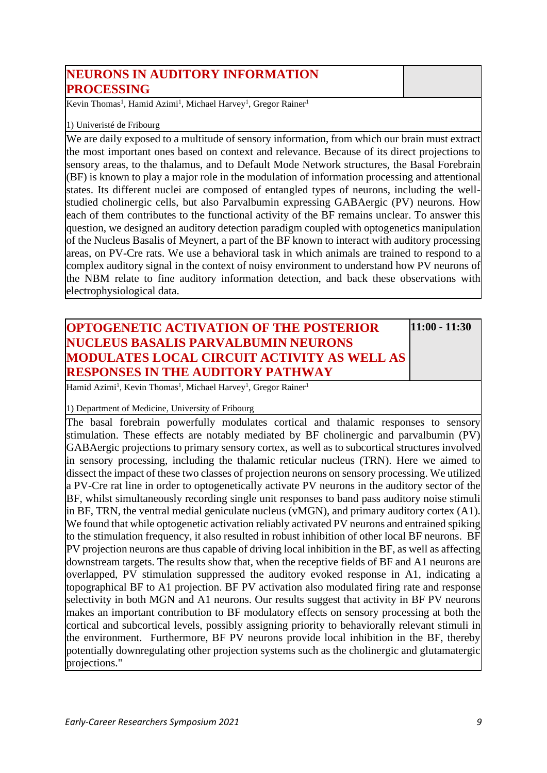| NEURONS IN AUDITORY INFORMATION |  |
|---------------------------------|--|
| <b>PROCESSING</b>               |  |

Kevin Thomas<sup>1</sup>, Hamid Azimi<sup>1</sup>, Michael Harvey<sup>1</sup>, Gregor Rainer<sup>1</sup>

#### 1) Univeristé de Fribourg

We are daily exposed to a multitude of sensory information, from which our brain must extract the most important ones based on context and relevance. Because of its direct projections to sensory areas, to the thalamus, and to Default Mode Network structures, the Basal Forebrain (BF) is known to play a major role in the modulation of information processing and attentional states. Its different nuclei are composed of entangled types of neurons, including the wellstudied cholinergic cells, but also Parvalbumin expressing GABAergic (PV) neurons. How each of them contributes to the functional activity of the BF remains unclear. To answer this question, we designed an auditory detection paradigm coupled with optogenetics manipulation of the Nucleus Basalis of Meynert, a part of the BF known to interact with auditory processing areas, on PV-Cre rats. We use a behavioral task in which animals are trained to respond to a complex auditory signal in the context of noisy environment to understand how PV neurons of the NBM relate to fine auditory information detection, and back these observations with electrophysiological data.

#### **OPTOGENETIC ACTIVATION OF THE POSTERIOR NUCLEUS BASALIS PARVALBUMIN NEURONS MODULATES LOCAL CIRCUIT ACTIVITY AS WELL AS RESPONSES IN THE AUDITORY PATHWAY**

**11:00 - 11:30**

Hamid Azimi<sup>1</sup>, Kevin Thomas<sup>1</sup>, Michael Harvey<sup>1</sup>, Gregor Rainer<sup>1</sup>

1) Department of Medicine, University of Fribourg

The basal forebrain powerfully modulates cortical and thalamic responses to sensory stimulation. These effects are notably mediated by BF cholinergic and parvalbumin (PV) GABAergic projections to primary sensory cortex, as well as to subcortical structures involved in sensory processing, including the thalamic reticular nucleus (TRN). Here we aimed to dissect the impact of these two classes of projection neurons on sensory processing. We utilized a PV-Cre rat line in order to optogenetically activate PV neurons in the auditory sector of the BF, whilst simultaneously recording single unit responses to band pass auditory noise stimuli in BF, TRN, the ventral medial geniculate nucleus (vMGN), and primary auditory cortex (A1). We found that while optogenetic activation reliably activated PV neurons and entrained spiking to the stimulation frequency, it also resulted in robust inhibition of other local BF neurons. BF PV projection neurons are thus capable of driving local inhibition in the BF, as well as affecting downstream targets. The results show that, when the receptive fields of BF and A1 neurons are overlapped, PV stimulation suppressed the auditory evoked response in A1, indicating a topographical BF to A1 projection. BF PV activation also modulated firing rate and response selectivity in both MGN and A1 neurons. Our results suggest that activity in BF PV neurons makes an important contribution to BF modulatory effects on sensory processing at both the cortical and subcortical levels, possibly assigning priority to behaviorally relevant stimuli in the environment. Furthermore, BF PV neurons provide local inhibition in the BF, thereby potentially downregulating other projection systems such as the cholinergic and glutamatergic projections."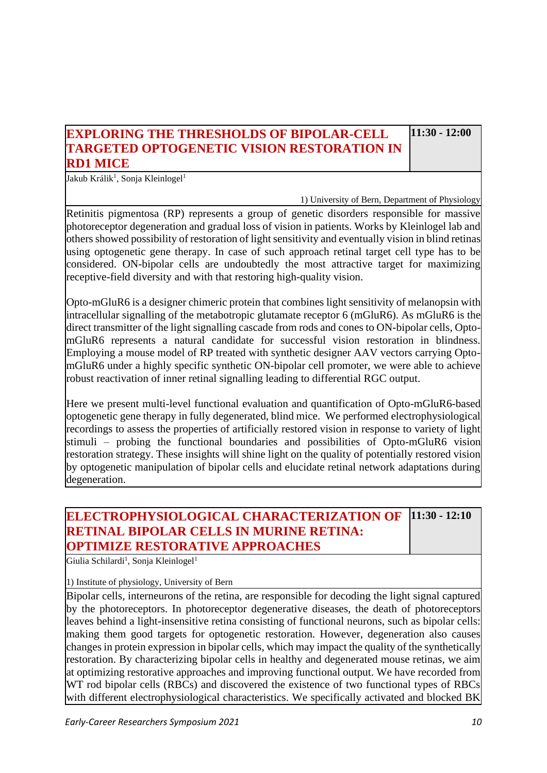## **EXPLORING THE THRESHOLDS OF BIPOLAR-CELL TARGETED OPTOGENETIC VISION RESTORATION IN RD1 MICE**

**11:30 - 12:00**

Jakub Králik<sup>1</sup>, Sonja Kleinlogel<sup>1</sup>

1) University of Bern, Department of Physiology

Retinitis pigmentosa (RP) represents a group of genetic disorders responsible for massive photoreceptor degeneration and gradual loss of vision in patients. Works by Kleinlogel lab and others showed possibility of restoration of light sensitivity and eventually vision in blind retinas using optogenetic gene therapy. In case of such approach retinal target cell type has to be considered. ON-bipolar cells are undoubtedly the most attractive target for maximizing receptive-field diversity and with that restoring high-quality vision.

Opto-mGluR6 is a designer chimeric protein that combines light sensitivity of melanopsin with intracellular signalling of the metabotropic glutamate receptor 6 (mGluR6). As mGluR6 is the direct transmitter of the light signalling cascade from rods and cones to ON-bipolar cells, OptomGluR6 represents a natural candidate for successful vision restoration in blindness. Employing a mouse model of RP treated with synthetic designer AAV vectors carrying OptomGluR6 under a highly specific synthetic ON-bipolar cell promoter, we were able to achieve robust reactivation of inner retinal signalling leading to differential RGC output.

Here we present multi-level functional evaluation and quantification of Opto-mGluR6-based optogenetic gene therapy in fully degenerated, blind mice. We performed electrophysiological recordings to assess the properties of artificially restored vision in response to variety of light stimuli – probing the functional boundaries and possibilities of Opto-mGluR6 vision restoration strategy. These insights will shine light on the quality of potentially restored vision by optogenetic manipulation of bipolar cells and elucidate retinal network adaptations during degeneration.

#### **ELECTROPHYSIOLOGICAL CHARACTERIZATION OF RETINAL BIPOLAR CELLS IN MURINE RETINA: OPTIMIZE RESTORATIVE APPROACHES 11:30 - 12:10**

Giulia Schilardi<sup>1</sup>, Sonja Kleinlogel<sup>1</sup>

1) Institute of physiology, University of Bern

Bipolar cells, interneurons of the retina, are responsible for decoding the light signal captured by the photoreceptors. In photoreceptor degenerative diseases, the death of photoreceptors leaves behind a light-insensitive retina consisting of functional neurons, such as bipolar cells: making them good targets for optogenetic restoration. However, degeneration also causes changes in protein expression in bipolar cells, which may impact the quality of the synthetically restoration. By characterizing bipolar cells in healthy and degenerated mouse retinas, we aim at optimizing restorative approaches and improving functional output. We have recorded from WT rod bipolar cells (RBCs) and discovered the existence of two functional types of RBCs with different electrophysiological characteristics. We specifically activated and blocked BK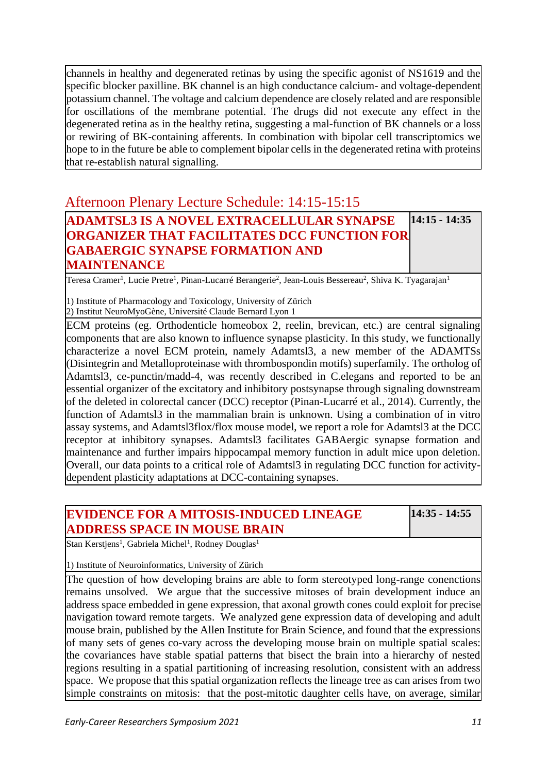channels in healthy and degenerated retinas by using the specific agonist of NS1619 and the specific blocker paxilline. BK channel is an high conductance calcium- and voltage-dependent potassium channel. The voltage and calcium dependence are closely related and are responsible for oscillations of the membrane potential. The drugs did not execute any effect in the degenerated retina as in the healthy retina, suggesting a mal-function of BK channels or a loss or rewiring of BK-containing afferents. In combination with bipolar cell transcriptomics we hope to in the future be able to complement bipolar cells in the degenerated retina with proteins that re-establish natural signalling.

## Afternoon Plenary Lecture Schedule: 14:15-15:15

#### **ADAMTSL3 IS A NOVEL EXTRACELLULAR SYNAPSE ORGANIZER THAT FACILITATES DCC FUNCTION FOR GABAERGIC SYNAPSE FORMATION AND MAINTENANCE 14:15 - 14:35**

Teresa Cramer<sup>1</sup>, Lucie Pretre<sup>1</sup>, Pinan-Lucarré Berangerie<sup>2</sup>, Jean-Louis Bessereau<sup>2</sup>, Shiva K. Tyagarajan<sup>1</sup>

1) Institute of Pharmacology and Toxicology, University of Zürich 2) Institut NeuroMyoGène, Université Claude Bernard Lyon 1

ECM proteins (eg. Orthodenticle homeobox 2, reelin, brevican, etc.) are central signaling components that are also known to influence synapse plasticity. In this study, we functionally characterize a novel ECM protein, namely Adamtsl3, a new member of the ADAMTSs (Disintegrin and Metalloproteinase with thrombospondin motifs) superfamily. The ortholog of Adamtsl3, ce-punctin/madd-4, was recently described in C.elegans and reported to be an essential organizer of the excitatory and inhibitory postsynapse through signaling downstream of the deleted in colorectal cancer (DCC) receptor (Pinan-Lucarré et al., 2014). Currently, the function of Adamtsl3 in the mammalian brain is unknown. Using a combination of in vitro assay systems, and Adamtsl3flox/flox mouse model, we report a role for Adamtsl3 at the DCC receptor at inhibitory synapses. Adamtsl3 facilitates GABAergic synapse formation and maintenance and further impairs hippocampal memory function in adult mice upon deletion. Overall, our data points to a critical role of Adamtsl3 in regulating DCC function for activitydependent plasticity adaptations at DCC-containing synapses.

#### **EVIDENCE FOR A MITOSIS-INDUCED LINEAGE ADDRESS SPACE IN MOUSE BRAIN**

**14:35 - 14:55**

Stan Kerstjens<sup>1</sup>, Gabriela Michel<sup>1</sup>, Rodney Douglas<sup>1</sup>

1) Institute of Neuroinformatics, University of Zürich

The question of how developing brains are able to form stereotyped long-range conenctions remains unsolved. We argue that the successive mitoses of brain development induce an address space embedded in gene expression, that axonal growth cones could exploit for precise navigation toward remote targets. We analyzed gene expression data of developing and adult mouse brain, published by the Allen Institute for Brain Science, and found that the expressions of many sets of genes co-vary across the developing mouse brain on multiple spatial scales: the covariances have stable spatial patterns that bisect the brain into a hierarchy of nested regions resulting in a spatial partitioning of increasing resolution, consistent with an address space. We propose that this spatial organization reflects the lineage tree as can arises from two simple constraints on mitosis: that the post-mitotic daughter cells have, on average, similar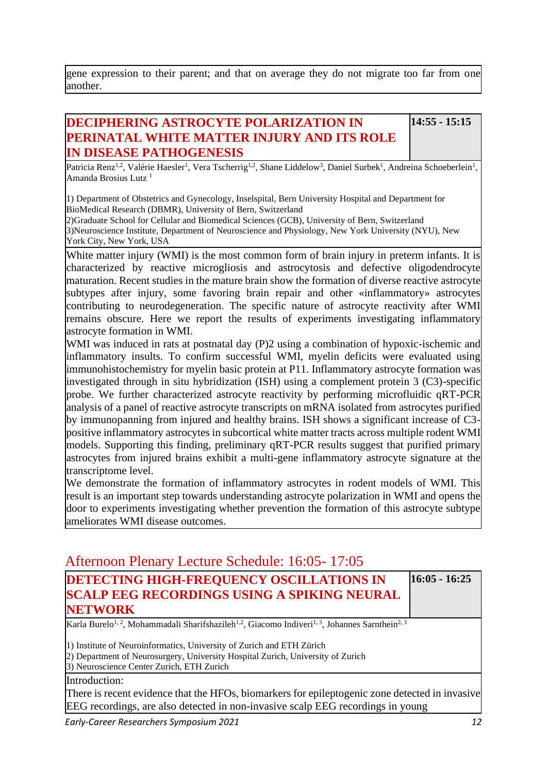gene expression to their parent; and that on average they do not migrate too far from one another.

## **DECIPHERING ASTROCYTE POLARIZATION IN PERINATAL WHITE MATTER INJURY AND ITS ROLE IN DISEASE PATHOGENESIS**

**14:55 - 15:15**

Patricia Renz<sup>1,2</sup>, Valérie Haesler<sup>1</sup>, Vera Tscherrig<sup>1,2</sup>, Shane Liddelow<sup>3</sup>, Daniel Surbek<sup>1</sup>, Andreina Schoeberlein<sup>1</sup>, Amanda Brosius Lutz<sup>1</sup>

1) Department of Obstetrics and Gynecology, Inselspital, Bern University Hospital and Department for BioMedical Research (DBMR), University of Bern, Switzerland

2)Graduate School for Cellular and Biomedical Sciences (GCB), University of Bern, Switzerland 3)Neuroscience Institute, Department of Neuroscience and Physiology, New York University (NYU), New York City, New York, USA

White matter injury (WMI) is the most common form of brain injury in preterm infants. It is characterized by reactive microgliosis and astrocytosis and defective oligodendrocyte maturation. Recent studies in the mature brain show the formation of diverse reactive astrocyte subtypes after injury, some favoring brain repair and other «inflammatory» astrocytes contributing to neurodegeneration. The specific nature of astrocyte reactivity after WMI remains obscure. Here we report the results of experiments investigating inflammatory astrocyte formation in WMI.

WMI was induced in rats at postnatal day (P)2 using a combination of hypoxic-ischemic and inflammatory insults. To confirm successful WMI, myelin deficits were evaluated using immunohistochemistry for myelin basic protein at P11. Inflammatory astrocyte formation was investigated through in situ hybridization (ISH) using a complement protein 3 (C3)-specific probe. We further characterized astrocyte reactivity by performing microfluidic qRT-PCR analysis of a panel of reactive astrocyte transcripts on mRNA isolated from astrocytes purified by immunopanning from injured and healthy brains. ISH shows a significant increase of C3 positive inflammatory astrocytes in subcortical white matter tracts across multiple rodent WMI models. Supporting this finding, preliminary qRT-PCR results suggest that purified primary astrocytes from injured brains exhibit a multi-gene inflammatory astrocyte signature at the transcriptome level.

We demonstrate the formation of inflammatory astrocytes in rodent models of WMI. This result is an important step towards understanding astrocyte polarization in WMI and opens the door to experiments investigating whether prevention the formation of this astrocyte subtype ameliorates WMI disease outcomes.

## Afternoon Plenary Lecture Schedule: 16:05- 17:05

| <b>DETECTING HIGH-FREQUENCY OSCILLATIONS IN</b>                                                                                                  | $16:05 - 16:25$ |
|--------------------------------------------------------------------------------------------------------------------------------------------------|-----------------|
| <b>SCALP EEG RECORDINGS USING A SPIKING NEURAL</b>                                                                                               |                 |
| <b>NETWORK</b>                                                                                                                                   |                 |
| Karla Burelo <sup>1, 2</sup> , Mohammadali Sharifshazileh <sup>1,2</sup> , Giacomo Indiveri <sup>1, 3</sup> , Johannes Sarnthein <sup>2, 3</sup> |                 |
| 1) Institute of Neuroinformatics, University of Zurich and ETH Zürich                                                                            |                 |
| 2) Department of Neurosurgery, University Hospital Zurich, University of Zurich                                                                  |                 |
| 3) Neuroscience Center Zurich, ETH Zurich                                                                                                        |                 |
| Introduction:                                                                                                                                    |                 |
| There is recent evidence that the HFOs, biomarkers for epileptogenic zone detected in invasive                                                   |                 |
| EEG recordings, are also detected in non-invasive scalp EEG recordings in young                                                                  |                 |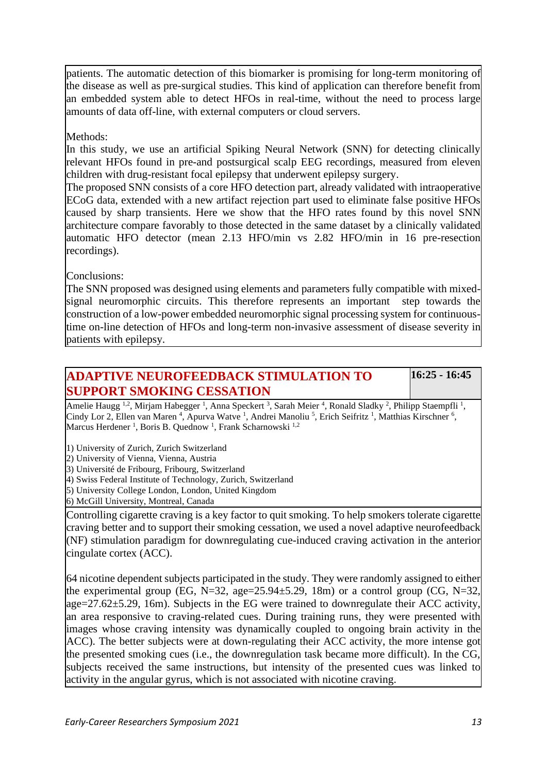patients. The automatic detection of this biomarker is promising for long-term monitoring of the disease as well as pre-surgical studies. This kind of application can therefore benefit from an embedded system able to detect HFOs in real-time, without the need to process large amounts of data off-line, with external computers or cloud servers.

#### Methods:

In this study, we use an artificial Spiking Neural Network (SNN) for detecting clinically relevant HFOs found in pre-and postsurgical scalp EEG recordings, measured from eleven children with drug-resistant focal epilepsy that underwent epilepsy surgery.

The proposed SNN consists of a core HFO detection part, already validated with intraoperative ECoG data, extended with a new artifact rejection part used to eliminate false positive HFOs caused by sharp transients. Here we show that the HFO rates found by this novel SNN architecture compare favorably to those detected in the same dataset by a clinically validated automatic HFO detector (mean 2.13 HFO/min vs 2.82 HFO/min in 16 pre-resection recordings).

Conclusions:

The SNN proposed was designed using elements and parameters fully compatible with mixedsignal neuromorphic circuits. This therefore represents an important step towards the construction of a low-power embedded neuromorphic signal processing system for continuoustime on-line detection of HFOs and long-term non-invasive assessment of disease severity in patients with epilepsy.

### **ADAPTIVE NEUROFEEDBACK STIMULATION TO SUPPORT SMOKING CESSATION**

**16:25 - 16:45**

Amelie Haugg <sup>1,2</sup>, Mirjam Habegger <sup>1</sup>, Anna Speckert <sup>3</sup>, Sarah Meier <sup>4</sup>, Ronald Sladky <sup>2</sup>, Philipp Staempfli <sup>1</sup>, Cindy Lor 2, Ellen van Maren<sup>4</sup>, Apurva Watve<sup>1</sup>, Andrei Manoliu<sup>5</sup>, Erich Seifritz<sup>1</sup>, Matthias Kirschner<sup>6</sup>, Marcus Herdener<sup>1</sup>, Boris B. Quednow<sup>1</sup>, Frank Scharnowski<sup>1,2</sup>

1) University of Zurich, Zurich Switzerland

2) University of Vienna, Vienna, Austria

3) Université de Fribourg, Fribourg, Switzerland

4) Swiss Federal Institute of Technology, Zurich, Switzerland

5) University College London, London, United Kingdom

6) McGill University, Montreal, Canada

Controlling cigarette craving is a key factor to quit smoking. To help smokers tolerate cigarette craving better and to support their smoking cessation, we used a novel adaptive neurofeedback (NF) stimulation paradigm for downregulating cue-induced craving activation in the anterior cingulate cortex (ACC).

64 nicotine dependent subjects participated in the study. They were randomly assigned to either the experimental group (EG, N=32, age=25.94 $\pm$ 5.29, 18m) or a control group (CG, N=32, age= $27.62 \pm 5.29$ , 16m). Subjects in the EG were trained to downregulate their ACC activity, an area responsive to craving-related cues. During training runs, they were presented with images whose craving intensity was dynamically coupled to ongoing brain activity in the ACC). The better subjects were at down-regulating their ACC activity, the more intense got the presented smoking cues (i.e., the downregulation task became more difficult). In the CG, subjects received the same instructions, but intensity of the presented cues was linked to activity in the angular gyrus, which is not associated with nicotine craving.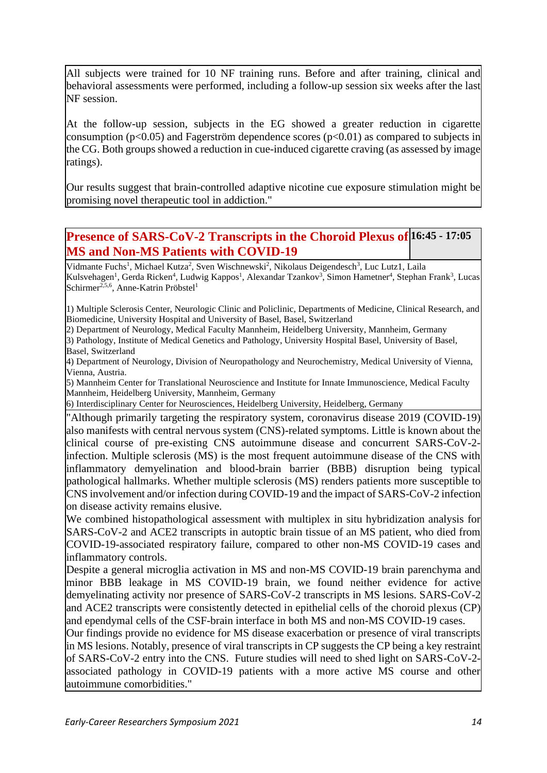All subjects were trained for 10 NF training runs. Before and after training, clinical and behavioral assessments were performed, including a follow-up session six weeks after the last NF session.

At the follow-up session, subjects in the EG showed a greater reduction in cigarette consumption ( $p<0.05$ ) and Fagerström dependence scores ( $p<0.01$ ) as compared to subjects in the CG. Both groups showed a reduction in cue-induced cigarette craving (as assessed by image ratings).

Our results suggest that brain-controlled adaptive nicotine cue exposure stimulation might be promising novel therapeutic tool in addiction."

**Presence of SARS-CoV-2 Transcripts in the Choroid Plexus of 16:45 - 17:05 MS and Non-MS Patients with COVID-19**

Vidmante Fuchs<sup>1</sup>, Michael Kutza<sup>2</sup>, Sven Wischnewski<sup>2</sup>, Nikolaus Deigendesch<sup>3</sup>, Luc Lutz1, Laila Kulsvehagen<sup>1</sup>, Gerda Ricken<sup>4</sup>, Ludwig Kappos<sup>1</sup>, Alexandar Tzankov<sup>3</sup>, Simon Hametner<sup>4</sup>, Stephan Frank<sup>3</sup>, Lucas Schirmer<sup>2,5,6</sup>, Anne-Katrin Pröbstel<sup>1</sup>

1) Multiple Sclerosis Center, Neurologic Clinic and Policlinic, Departments of Medicine, Clinical Research, and Biomedicine, University Hospital and University of Basel, Basel, Switzerland

2) Department of Neurology, Medical Faculty Mannheim, Heidelberg University, Mannheim, Germany

3) Pathology, Institute of Medical Genetics and Pathology, University Hospital Basel, University of Basel, Basel, Switzerland

4) Department of Neurology, Division of Neuropathology and Neurochemistry, Medical University of Vienna, Vienna, Austria.

5) Mannheim Center for Translational Neuroscience and Institute for Innate Immunoscience, Medical Faculty Mannheim, Heidelberg University, Mannheim, Germany

6) Interdisciplinary Center for Neurosciences, Heidelberg University, Heidelberg, Germany

"Although primarily targeting the respiratory system, coronavirus disease 2019 (COVID-19) also manifests with central nervous system (CNS)-related symptoms. Little is known about the clinical course of pre-existing CNS autoimmune disease and concurrent SARS-CoV-2 infection. Multiple sclerosis (MS) is the most frequent autoimmune disease of the CNS with inflammatory demyelination and blood-brain barrier (BBB) disruption being typical pathological hallmarks. Whether multiple sclerosis (MS) renders patients more susceptible to CNS involvement and/or infection during COVID-19 and the impact of SARS-CoV-2 infection on disease activity remains elusive.

We combined histopathological assessment with multiplex in situ hybridization analysis for SARS-CoV-2 and ACE2 transcripts in autoptic brain tissue of an MS patient, who died from COVID-19-associated respiratory failure, compared to other non-MS COVID-19 cases and inflammatory controls.

Despite a general microglia activation in MS and non-MS COVID-19 brain parenchyma and minor BBB leakage in MS COVID-19 brain, we found neither evidence for active demyelinating activity nor presence of SARS-CoV-2 transcripts in MS lesions. SARS-CoV-2 and ACE2 transcripts were consistently detected in epithelial cells of the choroid plexus (CP) and ependymal cells of the CSF-brain interface in both MS and non-MS COVID-19 cases.

Our findings provide no evidence for MS disease exacerbation or presence of viral transcripts in MS lesions. Notably, presence of viral transcripts in CP suggests the CP being a key restraint of SARS-CoV-2 entry into the CNS. Future studies will need to shed light on SARS-CoV-2 associated pathology in COVID-19 patients with a more active MS course and other autoimmune comorbidities."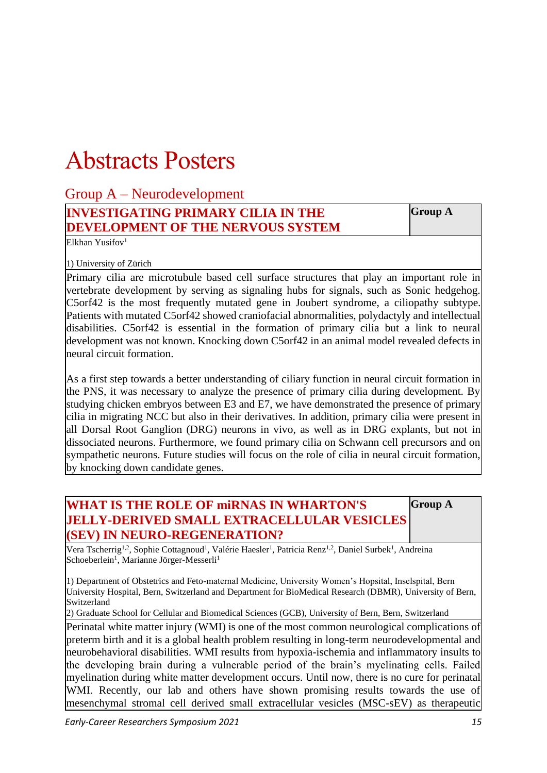# Abstracts Posters

| Group $A -$ Neurodevelopment              |                |
|-------------------------------------------|----------------|
| <b>INVESTIGATING PRIMARY CILIA IN THE</b> | <b>Group A</b> |
| <b>DEVELOPMENT OF THE NERVOUS SYSTEM</b>  |                |

Elkhan Yusifov<sup>1</sup>

1) University of Zürich

Primary cilia are microtubule based cell surface structures that play an important role in vertebrate development by serving as signaling hubs for signals, such as Sonic hedgehog. C5orf42 is the most frequently mutated gene in Joubert syndrome, a ciliopathy subtype. Patients with mutated C5orf42 showed craniofacial abnormalities, polydactyly and intellectual disabilities. C5orf42 is essential in the formation of primary cilia but a link to neural development was not known. Knocking down C5orf42 in an animal model revealed defects in neural circuit formation.

As a first step towards a better understanding of ciliary function in neural circuit formation in the PNS, it was necessary to analyze the presence of primary cilia during development. By studying chicken embryos between E3 and E7, we have demonstrated the presence of primary cilia in migrating NCC but also in their derivatives. In addition, primary cilia were present in all Dorsal Root Ganglion (DRG) neurons in vivo, as well as in DRG explants, but not in dissociated neurons. Furthermore, we found primary cilia on Schwann cell precursors and on sympathetic neurons. Future studies will focus on the role of cilia in neural circuit formation, by knocking down candidate genes.

#### **WHAT IS THE ROLE OF miRNAS IN WHARTON'S JELLY-DERIVED SMALL EXTRACELLULAR VESICLES (SEV) IN NEURO-REGENERATION? Group A**

Vera Tscherrig<sup>1,2</sup>, Sophie Cottagnoud<sup>1</sup>, Valérie Haesler<sup>1</sup>, Patricia Renz<sup>1,2</sup>, Daniel Surbek<sup>1</sup>, Andreina Schoeberlein<sup>1</sup>, Marianne Jörger-Messerli<sup>1</sup>

1) Department of Obstetrics and Feto-maternal Medicine, University Women's Hopsital, Inselspital, Bern University Hospital, Bern, Switzerland and Department for BioMedical Research (DBMR), University of Bern, Switzerland

2) Graduate School for Cellular and Biomedical Sciences (GCB), University of Bern, Bern, Switzerland

Perinatal white matter injury (WMI) is one of the most common neurological complications of preterm birth and it is a global health problem resulting in long-term neurodevelopmental and neurobehavioral disabilities. WMI results from hypoxia-ischemia and inflammatory insults to the developing brain during a vulnerable period of the brain's myelinating cells. Failed myelination during white matter development occurs. Until now, there is no cure for perinatal WMI. Recently, our lab and others have shown promising results towards the use of mesenchymal stromal cell derived small extracellular vesicles (MSC-sEV) as therapeutic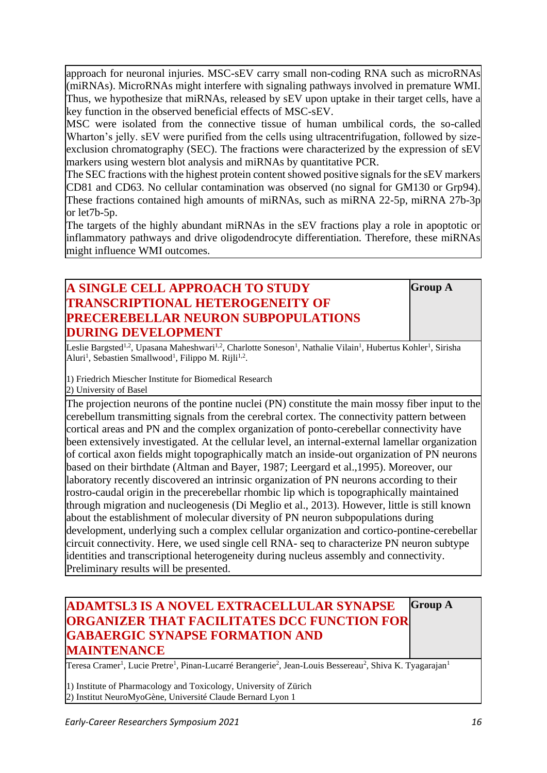approach for neuronal injuries. MSC-sEV carry small non-coding RNA such as microRNAs (miRNAs). MicroRNAs might interfere with signaling pathways involved in premature WMI. Thus, we hypothesize that miRNAs, released by sEV upon uptake in their target cells, have a key function in the observed beneficial effects of MSC-sEV.

MSC were isolated from the connective tissue of human umbilical cords, the so-called Wharton's jelly. sEV were purified from the cells using ultracentrifugation, followed by sizeexclusion chromatography (SEC). The fractions were characterized by the expression of sEV markers using western blot analysis and miRNAs by quantitative PCR.

The SEC fractions with the highest protein content showed positive signals for the sEV markers CD81 and CD63. No cellular contamination was observed (no signal for GM130 or Grp94). These fractions contained high amounts of miRNAs, such as miRNA 22-5p, miRNA 27b-3p or let7b-5p.

The targets of the highly abundant miRNAs in the sEV fractions play a role in apoptotic or inflammatory pathways and drive oligodendrocyte differentiation. Therefore, these miRNAs might influence WMI outcomes.

### **A SINGLE CELL APPROACH TO STUDY TRANSCRIPTIONAL HETEROGENEITY OF PRECEREBELLAR NEURON SUBPOPULATIONS DURING DEVELOPMENT**

**Group A**

Leslie Bargsted<sup>1,2</sup>, Upasana Maheshwari<sup>1,2</sup>, Charlotte Soneson<sup>1</sup>, Nathalie Vilain<sup>1</sup>, Hubertus Kohler<sup>1</sup>, Sirisha Aluri<sup>1</sup>, Sebastien Smallwood<sup>1</sup>, Filippo M. Rijli<sup>1,2</sup>.

1) Friedrich Miescher Institute for Biomedical Research

2) University of Basel

The projection neurons of the pontine nuclei (PN) constitute the main mossy fiber input to the cerebellum transmitting signals from the cerebral cortex. The connectivity pattern between cortical areas and PN and the complex organization of ponto-cerebellar connectivity have been extensively investigated. At the cellular level, an internal-external lamellar organization of cortical axon fields might topographically match an inside-out organization of PN neurons based on their birthdate (Altman and Bayer, 1987; Leergard et al.,1995). Moreover, our laboratory recently discovered an intrinsic organization of PN neurons according to their rostro-caudal origin in the precerebellar rhombic lip which is topographically maintained through migration and nucleogenesis (Di Meglio et al., 2013). However, little is still known about the establishment of molecular diversity of PN neuron subpopulations during development, underlying such a complex cellular organization and cortico-pontine-cerebellar circuit connectivity. Here, we used single cell RNA- seq to characterize PN neuron subtype identities and transcriptional heterogeneity during nucleus assembly and connectivity. Preliminary results will be presented.

#### **ADAMTSL3 IS A NOVEL EXTRACELLULAR SYNAPSE ORGANIZER THAT FACILITATES DCC FUNCTION FOR GABAERGIC SYNAPSE FORMATION AND MAINTENANCE Group A**

Teresa Cramer<sup>1</sup>, Lucie Pretre<sup>1</sup>, Pinan-Lucarré Berangerie<sup>2</sup>, Jean-Louis Bessereau<sup>2</sup>, Shiva K. Tyagarajan<sup>1</sup>

1) Institute of Pharmacology and Toxicology, University of Zürich 2) Institut NeuroMyoGène, Université Claude Bernard Lyon 1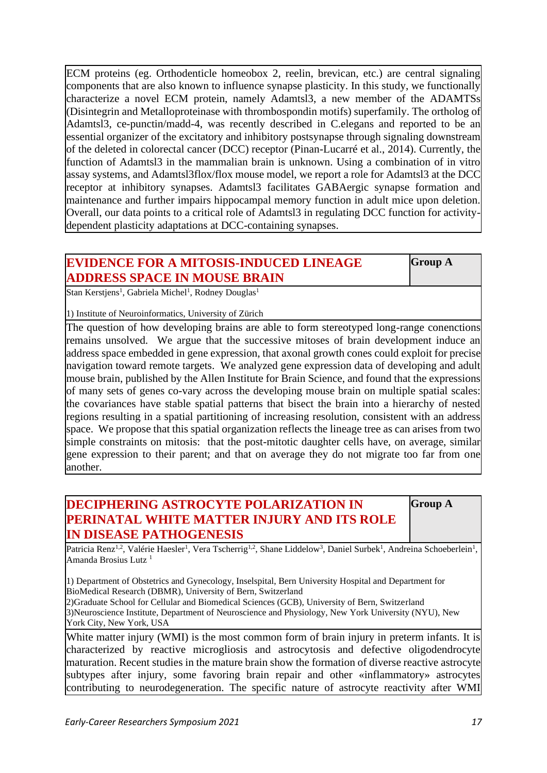ECM proteins (eg. Orthodenticle homeobox 2, reelin, brevican, etc.) are central signaling components that are also known to influence synapse plasticity. In this study, we functionally characterize a novel ECM protein, namely Adamtsl3, a new member of the ADAMTSs (Disintegrin and Metalloproteinase with thrombospondin motifs) superfamily. The ortholog of Adamtsl3, ce-punctin/madd-4, was recently described in C.elegans and reported to be an essential organizer of the excitatory and inhibitory postsynapse through signaling downstream of the deleted in colorectal cancer (DCC) receptor (Pinan-Lucarré et al., 2014). Currently, the function of Adamtsl3 in the mammalian brain is unknown. Using a combination of in vitro assay systems, and Adamtsl3flox/flox mouse model, we report a role for Adamtsl3 at the DCC receptor at inhibitory synapses. Adamtsl3 facilitates GABAergic synapse formation and maintenance and further impairs hippocampal memory function in adult mice upon deletion. Overall, our data points to a critical role of Adamtsl3 in regulating DCC function for activitydependent plasticity adaptations at DCC-containing synapses.

### **EVIDENCE FOR A MITOSIS-INDUCED LINEAGE ADDRESS SPACE IN MOUSE BRAIN**

**Group A**

Stan Kerstjens<sup>1</sup>, Gabriela Michel<sup>1</sup>, Rodney Douglas<sup>1</sup>

1) Institute of Neuroinformatics, University of Zürich

The question of how developing brains are able to form stereotyped long-range conenctions remains unsolved. We argue that the successive mitoses of brain development induce an address space embedded in gene expression, that axonal growth cones could exploit for precise navigation toward remote targets. We analyzed gene expression data of developing and adult mouse brain, published by the Allen Institute for Brain Science, and found that the expressions of many sets of genes co-vary across the developing mouse brain on multiple spatial scales: the covariances have stable spatial patterns that bisect the brain into a hierarchy of nested regions resulting in a spatial partitioning of increasing resolution, consistent with an address space. We propose that this spatial organization reflects the lineage tree as can arises from two simple constraints on mitosis: that the post-mitotic daughter cells have, on average, similar gene expression to their parent; and that on average they do not migrate too far from one another.

## **DECIPHERING ASTROCYTE POLARIZATION IN PERINATAL WHITE MATTER INJURY AND ITS ROLE IN DISEASE PATHOGENESIS**

**Group A**

Patricia Renz<sup>1,2</sup>, Valérie Haesler<sup>1</sup>, Vera Tscherrig<sup>1,2</sup>, Shane Liddelow<sup>3</sup>, Daniel Surbek<sup>1</sup>, Andreina Schoeberlein<sup>1</sup>, Amanda Brosius Lutz<sup>1</sup>

1) Department of Obstetrics and Gynecology, Inselspital, Bern University Hospital and Department for BioMedical Research (DBMR), University of Bern, Switzerland

2)Graduate School for Cellular and Biomedical Sciences (GCB), University of Bern, Switzerland 3)Neuroscience Institute, Department of Neuroscience and Physiology, New York University (NYU), New York City, New York, USA

White matter injury (WMI) is the most common form of brain injury in preterm infants. It is characterized by reactive microgliosis and astrocytosis and defective oligodendrocyte maturation. Recent studies in the mature brain show the formation of diverse reactive astrocyte subtypes after injury, some favoring brain repair and other «inflammatory» astrocytes contributing to neurodegeneration. The specific nature of astrocyte reactivity after WMI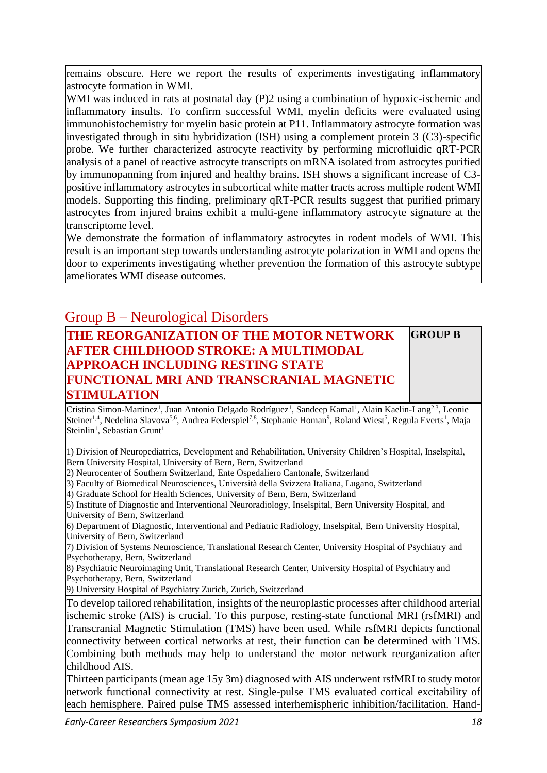remains obscure. Here we report the results of experiments investigating inflammatory astrocyte formation in WMI.

WMI was induced in rats at postnatal day (P)2 using a combination of hypoxic-ischemic and inflammatory insults. To confirm successful WMI, myelin deficits were evaluated using immunohistochemistry for myelin basic protein at P11. Inflammatory astrocyte formation was investigated through in situ hybridization (ISH) using a complement protein 3 (C3)-specific probe. We further characterized astrocyte reactivity by performing microfluidic qRT-PCR analysis of a panel of reactive astrocyte transcripts on mRNA isolated from astrocytes purified by immunopanning from injured and healthy brains. ISH shows a significant increase of C3 positive inflammatory astrocytes in subcortical white matter tracts across multiple rodent WMI models. Supporting this finding, preliminary qRT-PCR results suggest that purified primary astrocytes from injured brains exhibit a multi-gene inflammatory astrocyte signature at the transcriptome level.

We demonstrate the formation of inflammatory astrocytes in rodent models of WMI. This result is an important step towards understanding astrocyte polarization in WMI and opens the door to experiments investigating whether prevention the formation of this astrocyte subtype ameliorates WMI disease outcomes.

## Group B – Neurological Disorders

#### **THE REORGANIZATION OF THE MOTOR NETWORK AFTER CHILDHOOD STROKE: A MULTIMODAL APPROACH INCLUDING RESTING STATE FUNCTIONAL MRI AND TRANSCRANIAL MAGNETIC STIMULATION GROUP B**

Cristina Simon-Martinez<sup>1</sup>, Juan Antonio Delgado Rodríguez<sup>1</sup>, Sandeep Kamal<sup>1</sup>, Alain Kaelin-Lang<sup>2,3</sup>, Leonie Steiner<sup>1,4</sup>, Nedelina Slavova<sup>5,6</sup>, Andrea Federspiel<sup>7,8</sup>, Stephanie Homan<sup>9</sup>, Roland Wiest<sup>5</sup>, Regula Everts<sup>1</sup>, Maja Steinlin<sup>1</sup>, Sebastian Grunt<sup>1</sup>

1) Division of Neuropediatrics, Development and Rehabilitation, University Children's Hospital, Inselspital, Bern University Hospital, University of Bern, Bern, Switzerland

2) Neurocenter of Southern Switzerland, Ente Ospedaliero Cantonale, Switzerland

3) Faculty of Biomedical Neurosciences, Università della Svizzera Italiana, Lugano, Switzerland

4) Graduate School for Health Sciences, University of Bern, Bern, Switzerland

5) Institute of Diagnostic and Interventional Neuroradiology, Inselspital, Bern University Hospital, and University of Bern, Switzerland

6) Department of Diagnostic, Interventional and Pediatric Radiology, Inselspital, Bern University Hospital, University of Bern, Switzerland

7) Division of Systems Neuroscience, Translational Research Center, University Hospital of Psychiatry and Psychotherapy, Bern, Switzerland

8) Psychiatric Neuroimaging Unit, Translational Research Center, University Hospital of Psychiatry and Psychotherapy, Bern, Switzerland

9) University Hospital of Psychiatry Zurich, Zurich, Switzerland

To develop tailored rehabilitation, insights of the neuroplastic processes after childhood arterial ischemic stroke (AIS) is crucial. To this purpose, resting-state functional MRI (rsfMRI) and Transcranial Magnetic Stimulation (TMS) have been used. While rsfMRI depicts functional connectivity between cortical networks at rest, their function can be determined with TMS. Combining both methods may help to understand the motor network reorganization after childhood AIS.

Thirteen participants (mean age 15y 3m) diagnosed with AIS underwent rsfMRI to study motor network functional connectivity at rest. Single-pulse TMS evaluated cortical excitability of each hemisphere. Paired pulse TMS assessed interhemispheric inhibition/facilitation. Hand-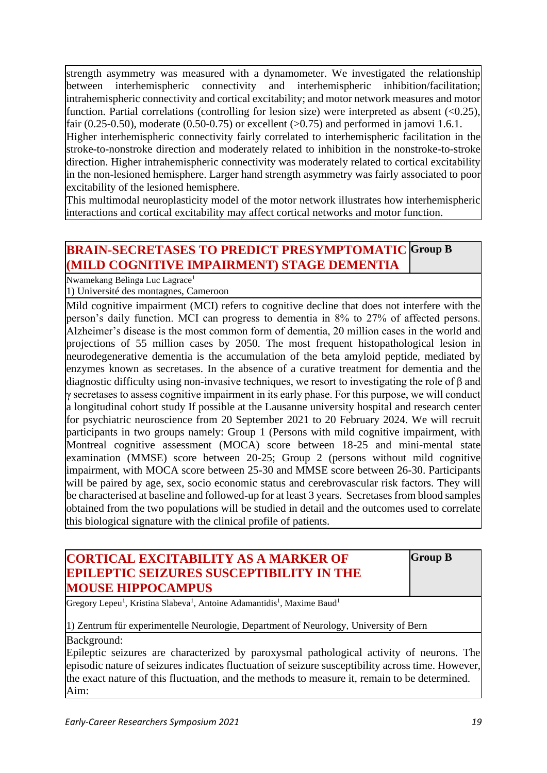strength asymmetry was measured with a dynamometer. We investigated the relationship between interhemispheric connectivity and interhemispheric inhibition/facilitation; intrahemispheric connectivity and cortical excitability; and motor network measures and motor function. Partial correlations (controlling for lesion size) were interpreted as absent  $(\leq 0.25)$ , fair  $(0.25-0.50)$ , moderate  $(0.50-0.75)$  or excellent  $(>0.75)$  and performed in jamovi 1.6.1.

Higher interhemispheric connectivity fairly correlated to interhemispheric facilitation in the stroke-to-nonstroke direction and moderately related to inhibition in the nonstroke-to-stroke direction. Higher intrahemispheric connectivity was moderately related to cortical excitability in the non-lesioned hemisphere. Larger hand strength asymmetry was fairly associated to poor excitability of the lesioned hemisphere.

This multimodal neuroplasticity model of the motor network illustrates how interhemispheric interactions and cortical excitability may affect cortical networks and motor function.

#### **BRAIN-SECRETASES TO PREDICT PRESYMPTOMATIC Group B (MILD COGNITIVE IMPAIRMENT) STAGE DEMENTIA**

Nwamekang Belinga Luc Lagrace<sup>1</sup>

1) Université des montagnes, Cameroon

Mild cognitive impairment (MCI) refers to cognitive decline that does not interfere with the person's daily function. MCI can progress to dementia in 8% to 27% of affected persons. Alzheimer's disease is the most common form of dementia, 20 million cases in the world and projections of 55 million cases by 2050. The most frequent histopathological lesion in neurodegenerative dementia is the accumulation of the beta amyloid peptide, mediated by enzymes known as secretases. In the absence of a curative treatment for dementia and the diagnostic difficulty using non-invasive techniques, we resort to investigating the role of β and γ secretases to assess cognitive impairment in its early phase. For this purpose, we will conduct a longitudinal cohort study If possible at the Lausanne university hospital and research center for psychiatric neuroscience from 20 September 2021 to 20 February 2024. We will recruit participants in two groups namely: Group 1 (Persons with mild cognitive impairment, with Montreal cognitive assessment (MOCA) score between 18-25 and mini-mental state examination (MMSE) score between 20-25; Group 2 (persons without mild cognitive impairment, with MOCA score between 25-30 and MMSE score between 26-30. Participants will be paired by age, sex, socio economic status and cerebrovascular risk factors. They will be characterised at baseline and followed-up for at least 3 years. Secretases from blood samples obtained from the two populations will be studied in detail and the outcomes used to correlate this biological signature with the clinical profile of patients.

#### **CORTICAL EXCITABILITY AS A MARKER OF EPILEPTIC SEIZURES SUSCEPTIBILITY IN THE MOUSE HIPPOCAMPUS**

**Group B**

Gregory Lepeu<sup>1</sup>, Kristina Slabeva<sup>1</sup>, Antoine Adamantidis<sup>1</sup>, Maxime Baud<sup>1</sup>

#### 1) Zentrum für experimentelle Neurologie, Department of Neurology, University of Bern

#### Background:

Epileptic seizures are characterized by paroxysmal pathological activity of neurons. The episodic nature of seizures indicates fluctuation of seizure susceptibility across time. However, the exact nature of this fluctuation, and the methods to measure it, remain to be determined. Aim: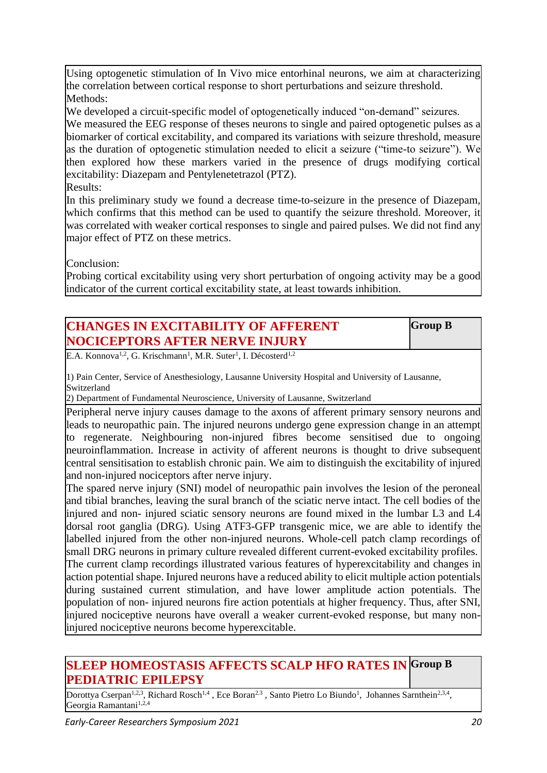Using optogenetic stimulation of In Vivo mice entorhinal neurons, we aim at characterizing the correlation between cortical response to short perturbations and seizure threshold. Methods:

We developed a circuit-specific model of optogenetically induced "on-demand" seizures. We measured the EEG response of theses neurons to single and paired optogenetic pulses as a biomarker of cortical excitability, and compared its variations with seizure threshold, measure as the duration of optogenetic stimulation needed to elicit a seizure ("time-to seizure"). We then explored how these markers varied in the presence of drugs modifying cortical excitability: Diazepam and Pentylenetetrazol (PTZ). Results:

In this preliminary study we found a decrease time-to-seizure in the presence of Diazepam, which confirms that this method can be used to quantify the seizure threshold. Moreover, it was correlated with weaker cortical responses to single and paired pulses. We did not find any major effect of PTZ on these metrics.

Conclusion:

Probing cortical excitability using very short perturbation of ongoing activity may be a good indicator of the current cortical excitability state, at least towards inhibition.

| <b>CHANGES IN EXCITABILITY OF AFFERENT</b>                                                                                                                                                                                                                                                                                                                            | <b>Group B</b> |
|-----------------------------------------------------------------------------------------------------------------------------------------------------------------------------------------------------------------------------------------------------------------------------------------------------------------------------------------------------------------------|----------------|
| <b>NOCICEPTORS AFTER NERVE INJURY</b>                                                                                                                                                                                                                                                                                                                                 |                |
| $-12.37 \times 12.37 \times 11.37 \times 11.37 \times 11.37 \times 11.37 \times 11.37 \times 11.37 \times 11.37 \times 11.37 \times 11.37 \times 11.37 \times 11.37 \times 11.37 \times 11.37 \times 11.37 \times 11.37 \times 11.37 \times 11.37 \times 11.37 \times 11.37 \times 11.37 \times 11.37 \times 11.37 \times 11.37 \times 11.37 \times 11.37 \times 11.$ |                |

E.A. Konnova<sup>1,2</sup>, G. Krischmann<sup>1</sup>, M.R. Suter<sup>1</sup>, I. Décosterd<sup>1,2</sup>

1) Pain Center, Service of Anesthesiology, Lausanne University Hospital and University of Lausanne, Switzerland

2) Department of Fundamental Neuroscience, University of Lausanne, Switzerland

Peripheral nerve injury causes damage to the axons of afferent primary sensory neurons and leads to neuropathic pain. The injured neurons undergo gene expression change in an attempt to regenerate. Neighbouring non-injured fibres become sensitised due to ongoing neuroinflammation. Increase in activity of afferent neurons is thought to drive subsequent central sensitisation to establish chronic pain. We aim to distinguish the excitability of injured and non-injured nociceptors after nerve injury.

The spared nerve injury (SNI) model of neuropathic pain involves the lesion of the peroneal and tibial branches, leaving the sural branch of the sciatic nerve intact. The cell bodies of the injured and non- injured sciatic sensory neurons are found mixed in the lumbar L3 and L4 dorsal root ganglia (DRG). Using ATF3-GFP transgenic mice, we are able to identify the labelled injured from the other non-injured neurons. Whole-cell patch clamp recordings of small DRG neurons in primary culture revealed different current-evoked excitability profiles. The current clamp recordings illustrated various features of hyperexcitability and changes in action potential shape. Injured neurons have a reduced ability to elicit multiple action potentials during sustained current stimulation, and have lower amplitude action potentials. The population of non- injured neurons fire action potentials at higher frequency. Thus, after SNI, injured nociceptive neurons have overall a weaker current-evoked response, but many noninjured nociceptive neurons become hyperexcitable.

#### **SLEEP HOMEOSTASIS AFFECTS SCALP HFO RATES IN Group B PEDIATRIC EPILEPSY**

Dorottya Cserpan<sup>1,2,3</sup>, Richard Rosch<sup>1,4</sup>, Ece Boran<sup>2,3</sup>, Santo Pietro Lo Biundo<sup>1</sup>, Johannes Sarnthein<sup>2,3,4</sup>, Georgia Ramantani<sup>1,2,4</sup>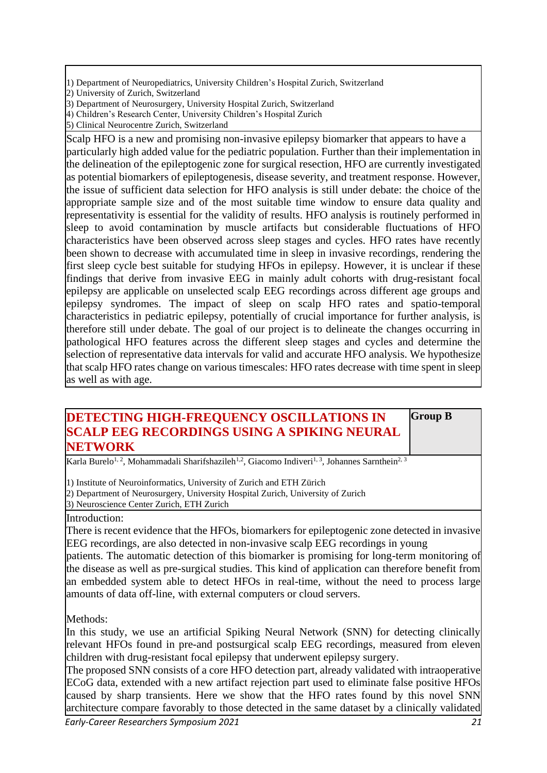1) Department of Neuropediatrics, University Children's Hospital Zurich, Switzerland

2) University of Zurich, Switzerland

4) Children's Research Center, University Children's Hospital Zurich

5) Clinical Neurocentre Zurich, Switzerland

Scalp HFO is a new and promising non-invasive epilepsy biomarker that appears to have a particularly high added value for the pediatric population. Further than their implementation in the delineation of the epileptogenic zone for surgical resection, HFO are currently investigated as potential biomarkers of epileptogenesis, disease severity, and treatment response. However, the issue of sufficient data selection for HFO analysis is still under debate: the choice of the appropriate sample size and of the most suitable time window to ensure data quality and representativity is essential for the validity of results. HFO analysis is routinely performed in sleep to avoid contamination by muscle artifacts but considerable fluctuations of HFO characteristics have been observed across sleep stages and cycles. HFO rates have recently been shown to decrease with accumulated time in sleep in invasive recordings, rendering the first sleep cycle best suitable for studying HFOs in epilepsy. However, it is unclear if these findings that derive from invasive EEG in mainly adult cohorts with drug-resistant focal epilepsy are applicable on unselected scalp EEG recordings across different age groups and epilepsy syndromes. The impact of sleep on scalp HFO rates and spatio-temporal characteristics in pediatric epilepsy, potentially of crucial importance for further analysis, is therefore still under debate. The goal of our project is to delineate the changes occurring in pathological HFO features across the different sleep stages and cycles and determine the selection of representative data intervals for valid and accurate HFO analysis. We hypothesize that scalp HFO rates change on various timescales: HFO rates decrease with time spent in sleep as well as with age.

#### **DETECTING HIGH-FREQUENCY OSCILLATIONS IN SCALP EEG RECORDINGS USING A SPIKING NEURAL NETWORK**

**Group B**

Karla Burelo<sup>1, 2</sup>, Mohammadali Sharifshazileh<sup>1,2</sup>, Giacomo Indiveri<sup>1, 3</sup>, Johannes Sarnthein<sup>2, 3</sup>

1) Institute of Neuroinformatics, University of Zurich and ETH Zürich

2) Department of Neurosurgery, University Hospital Zurich, University of Zurich 3) Neuroscience Center Zurich, ETH Zurich

Introduction:

There is recent evidence that the HFOs, biomarkers for epileptogenic zone detected in invasive EEG recordings, are also detected in non-invasive scalp EEG recordings in young

patients. The automatic detection of this biomarker is promising for long-term monitoring of the disease as well as pre-surgical studies. This kind of application can therefore benefit from an embedded system able to detect HFOs in real-time, without the need to process large amounts of data off-line, with external computers or cloud servers.

Methods:

In this study, we use an artificial Spiking Neural Network (SNN) for detecting clinically relevant HFOs found in pre-and postsurgical scalp EEG recordings, measured from eleven children with drug-resistant focal epilepsy that underwent epilepsy surgery.

The proposed SNN consists of a core HFO detection part, already validated with intraoperative ECoG data, extended with a new artifact rejection part used to eliminate false positive HFOs caused by sharp transients. Here we show that the HFO rates found by this novel SNN architecture compare favorably to those detected in the same dataset by a clinically validated

<sup>3)</sup> Department of Neurosurgery, University Hospital Zurich, Switzerland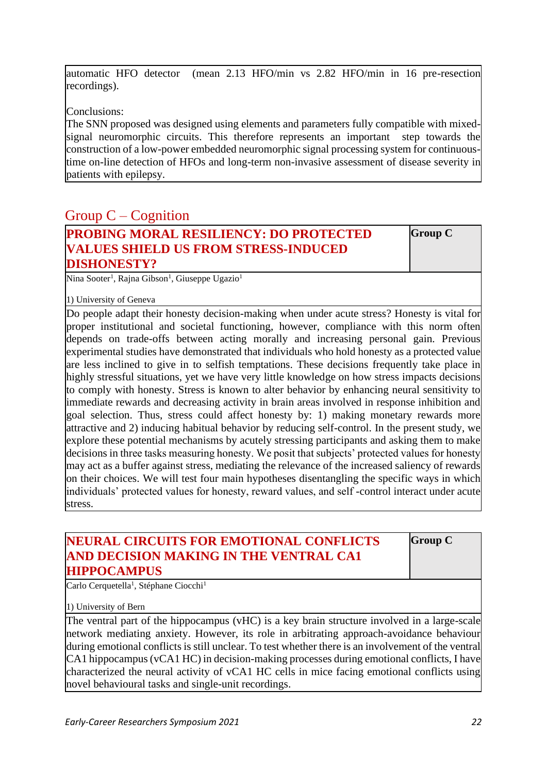automatic HFO detector (mean 2.13 HFO/min vs 2.82 HFO/min in 16 pre-resection recordings).

Conclusions:

The SNN proposed was designed using elements and parameters fully compatible with mixedsignal neuromorphic circuits. This therefore represents an important step towards the construction of a low-power embedded neuromorphic signal processing system for continuoustime on-line detection of HFOs and long-term non-invasive assessment of disease severity in patients with epilepsy.

## Group C – Cognition

| PROBING MORAL RESILIENCY: DO PROTECTED      |
|---------------------------------------------|
| <b>VALUES SHIELD US FROM STRESS-INDUCED</b> |
| <b>DISHONESTY?</b>                          |

**Group C**

Nina Sooter<sup>1</sup>, Rajna Gibson<sup>1</sup>, Giuseppe Ugazio<sup>1</sup>

1) University of Geneva

Do people adapt their honesty decision-making when under acute stress? Honesty is vital for proper institutional and societal functioning, however, compliance with this norm often depends on trade-offs between acting morally and increasing personal gain. Previous experimental studies have demonstrated that individuals who hold honesty as a protected value are less inclined to give in to selfish temptations. These decisions frequently take place in highly stressful situations, yet we have very little knowledge on how stress impacts decisions to comply with honesty. Stress is known to alter behavior by enhancing neural sensitivity to immediate rewards and decreasing activity in brain areas involved in response inhibition and goal selection. Thus, stress could affect honesty by: 1) making monetary rewards more attractive and 2) inducing habitual behavior by reducing self-control. In the present study, we explore these potential mechanisms by acutely stressing participants and asking them to make decisions in three tasks measuring honesty. We posit that subjects' protected values for honesty may act as a buffer against stress, mediating the relevance of the increased saliency of rewards on their choices. We will test four main hypotheses disentangling the specific ways in which individuals' protected values for honesty, reward values, and self -control interact under acute stress.

#### **NEURAL CIRCUITS FOR EMOTIONAL CONFLICTS AND DECISION MAKING IN THE VENTRAL CA1 HIPPOCAMPUS**

**Group C**

Carlo Cerquetella<sup>1</sup>, Stéphane Ciocchi<sup>1</sup>

1) University of Bern

The ventral part of the hippocampus (vHC) is a key brain structure involved in a large-scale network mediating anxiety. However, its role in arbitrating approach-avoidance behaviour during emotional conflicts is still unclear. To test whether there is an involvement of the ventral CA1 hippocampus (vCA1 HC) in decision-making processes during emotional conflicts, I have characterized the neural activity of vCA1 HC cells in mice facing emotional conflicts using novel behavioural tasks and single-unit recordings.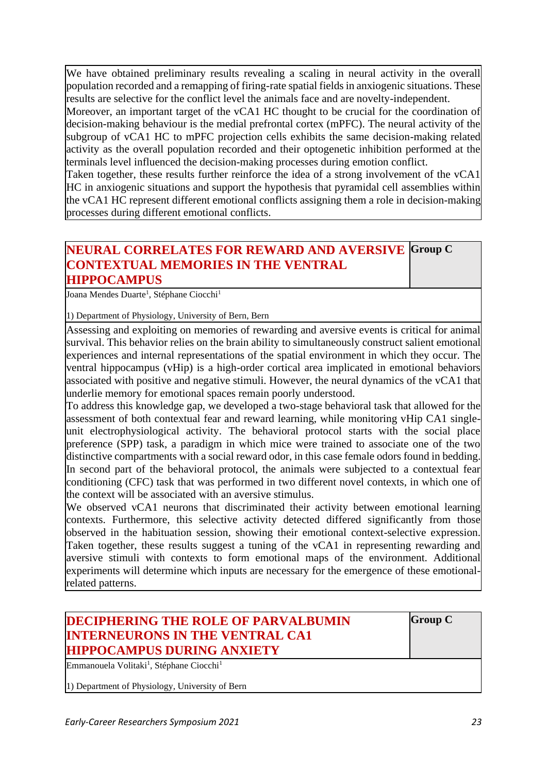We have obtained preliminary results revealing a scaling in neural activity in the overall population recorded and a remapping of firing-rate spatial fields in anxiogenic situations. These results are selective for the conflict level the animals face and are novelty-independent.

Moreover, an important target of the vCA1 HC thought to be crucial for the coordination of decision-making behaviour is the medial prefrontal cortex (mPFC). The neural activity of the subgroup of vCA1 HC to mPFC projection cells exhibits the same decision-making related activity as the overall population recorded and their optogenetic inhibition performed at the terminals level influenced the decision-making processes during emotion conflict.

Taken together, these results further reinforce the idea of a strong involvement of the vCA1 HC in anxiogenic situations and support the hypothesis that pyramidal cell assemblies within the vCA1 HC represent different emotional conflicts assigning them a role in decision-making processes during different emotional conflicts.

### **NEURAL CORRELATES FOR REWARD AND AVERSIVE Group C CONTEXTUAL MEMORIES IN THE VENTRAL HIPPOCAMPUS**

Joana Mendes Duarte<sup>1</sup>, Stéphane Ciocchi<sup>1</sup>

1) Department of Physiology, University of Bern, Bern

Assessing and exploiting on memories of rewarding and aversive events is critical for animal survival. This behavior relies on the brain ability to simultaneously construct salient emotional experiences and internal representations of the spatial environment in which they occur. The ventral hippocampus (vHip) is a high-order cortical area implicated in emotional behaviors associated with positive and negative stimuli. However, the neural dynamics of the vCA1 that underlie memory for emotional spaces remain poorly understood.

To address this knowledge gap, we developed a two-stage behavioral task that allowed for the assessment of both contextual fear and reward learning, while monitoring vHip CA1 singleunit electrophysiological activity. The behavioral protocol starts with the social place preference (SPP) task, a paradigm in which mice were trained to associate one of the two distinctive compartments with a social reward odor, in this case female odors found in bedding. In second part of the behavioral protocol, the animals were subjected to a contextual fear conditioning (CFC) task that was performed in two different novel contexts, in which one of the context will be associated with an aversive stimulus.

We observed vCA1 neurons that discriminated their activity between emotional learning contexts. Furthermore, this selective activity detected differed significantly from those observed in the habituation session, showing their emotional context-selective expression. Taken together, these results suggest a tuning of the vCA1 in representing rewarding and aversive stimuli with contexts to form emotional maps of the environment. Additional experiments will determine which inputs are necessary for the emergence of these emotionalrelated patterns.

## **DECIPHERING THE ROLE OF PARVALBUMIN INTERNEURONS IN THE VENTRAL CA1 HIPPOCAMPUS DURING ANXIETY**

Emmanouela Volitaki<sup>1</sup>, Stéphane Ciocchi<sup>1</sup>

1) Department of Physiology, University of Bern

**Group C**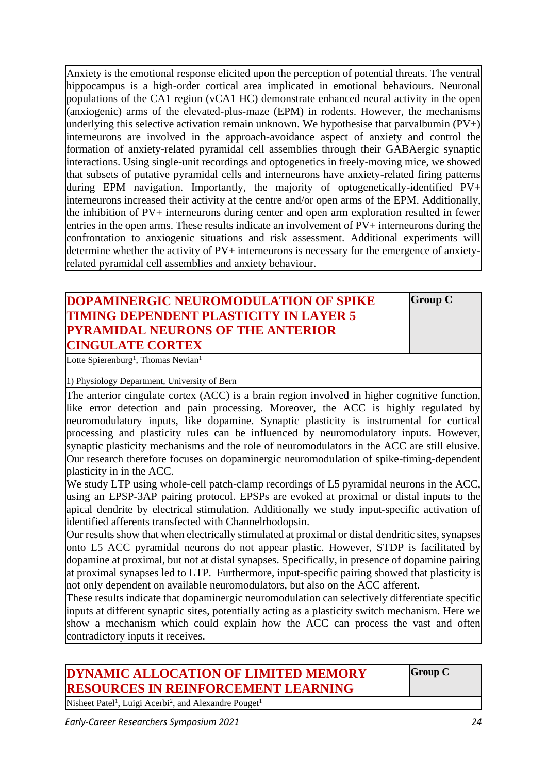Anxiety is the emotional response elicited upon the perception of potential threats. The ventral hippocampus is a high-order cortical area implicated in emotional behaviours. Neuronal populations of the CA1 region (vCA1 HC) demonstrate enhanced neural activity in the open (anxiogenic) arms of the elevated-plus-maze (EPM) in rodents. However, the mechanisms underlying this selective activation remain unknown. We hypothesise that parvalbumin (PV+) interneurons are involved in the approach-avoidance aspect of anxiety and control the formation of anxiety-related pyramidal cell assemblies through their GABAergic synaptic interactions. Using single-unit recordings and optogenetics in freely-moving mice, we showed that subsets of putative pyramidal cells and interneurons have anxiety-related firing patterns during EPM navigation. Importantly, the majority of optogenetically-identified PV+ interneurons increased their activity at the centre and/or open arms of the EPM. Additionally, the inhibition of PV+ interneurons during center and open arm exploration resulted in fewer entries in the open arms. These results indicate an involvement of PV+ interneurons during the confrontation to anxiogenic situations and risk assessment. Additional experiments will determine whether the activity of PV+ interneurons is necessary for the emergence of anxietyrelated pyramidal cell assemblies and anxiety behaviour.

## **DOPAMINERGIC NEUROMODULATION OF SPIKE TIMING DEPENDENT PLASTICITY IN LAYER 5 PYRAMIDAL NEURONS OF THE ANTERIOR CINGULATE CORTEX**

**Group C**

Lotte Spierenburg<sup>1</sup>, Thomas Nevian<sup>1</sup>

1) Physiology Department, University of Bern

The anterior cingulate cortex (ACC) is a brain region involved in higher cognitive function, like error detection and pain processing. Moreover, the ACC is highly regulated by neuromodulatory inputs, like dopamine. Synaptic plasticity is instrumental for cortical processing and plasticity rules can be influenced by neuromodulatory inputs. However, synaptic plasticity mechanisms and the role of neuromodulators in the ACC are still elusive. Our research therefore focuses on dopaminergic neuromodulation of spike-timing-dependent plasticity in in the ACC.

We study LTP using whole-cell patch-clamp recordings of L5 pyramidal neurons in the ACC. using an EPSP-3AP pairing protocol. EPSPs are evoked at proximal or distal inputs to the apical dendrite by electrical stimulation. Additionally we study input-specific activation of identified afferents transfected with Channelrhodopsin.

Our results show that when electrically stimulated at proximal or distal dendritic sites, synapses onto L5 ACC pyramidal neurons do not appear plastic. However, STDP is facilitated by dopamine at proximal, but not at distal synapses. Specifically, in presence of dopamine pairing at proximal synapses led to LTP. Furthermore, input-specific pairing showed that plasticity is not only dependent on available neuromodulators, but also on the ACC afferent.

These results indicate that dopaminergic neuromodulation can selectively differentiate specific inputs at different synaptic sites, potentially acting as a plasticity switch mechanism. Here we show a mechanism which could explain how the ACC can process the vast and often contradictory inputs it receives.

## **DYNAMIC ALLOCATION OF LIMITED MEMORY RESOURCES IN REINFORCEMENT LEARNING**

**Group C**

Nisheet Patel<sup>1</sup>, Luigi Acerbi<sup>2</sup>, and Alexandre Pouget<sup>1</sup>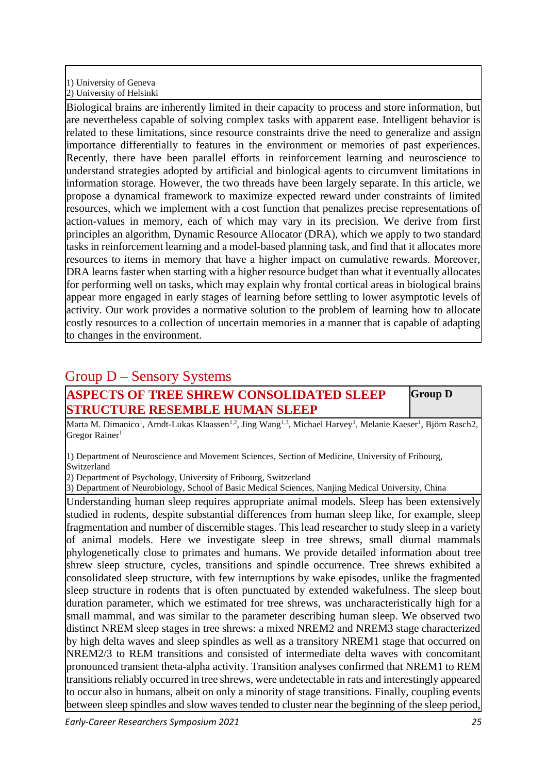#### 1) University of Geneva 2) University of Helsinki

Biological brains are inherently limited in their capacity to process and store information, but are nevertheless capable of solving complex tasks with apparent ease. Intelligent behavior is related to these limitations, since resource constraints drive the need to generalize and assign importance differentially to features in the environment or memories of past experiences. Recently, there have been parallel efforts in reinforcement learning and neuroscience to understand strategies adopted by artificial and biological agents to circumvent limitations in information storage. However, the two threads have been largely separate. In this article, we propose a dynamical framework to maximize expected reward under constraints of limited resources, which we implement with a cost function that penalizes precise representations of action-values in memory, each of which may vary in its precision. We derive from first principles an algorithm, Dynamic Resource Allocator (DRA), which we apply to two standard tasks in reinforcement learning and a model-based planning task, and find that it allocates more resources to items in memory that have a higher impact on cumulative rewards. Moreover, DRA learns faster when starting with a higher resource budget than what it eventually allocates for performing well on tasks, which may explain why frontal cortical areas in biological brains appear more engaged in early stages of learning before settling to lower asymptotic levels of activity. Our work provides a normative solution to the problem of learning how to allocate costly resources to a collection of uncertain memories in a manner that is capable of adapting to changes in the environment.

## Group D – Sensory Systems

## **ASPECTS OF TREE SHREW CONSOLIDATED SLEEP STRUCTURE RESEMBLE HUMAN SLEEP**

**Group D**

Marta M. Dimanico<sup>1</sup>, Arndt-Lukas Klaassen<sup>1,2</sup>, Jing Wang<sup>1,3</sup>, Michael Harvey<sup>1</sup>, Melanie Kaeser<sup>1</sup>, Björn Rasch2, Gregor Rainer<sup>1</sup>

1) Department of Neuroscience and Movement Sciences, Section of Medicine, University of Fribourg, Switzerland

2) Department of Psychology, University of Fribourg, Switzerland

3) Department of Neurobiology, School of Basic Medical Sciences, Nanjing Medical University, China

Understanding human sleep requires appropriate animal models. Sleep has been extensively studied in rodents, despite substantial differences from human sleep like, for example, sleep fragmentation and number of discernible stages. This lead researcher to study sleep in a variety of animal models. Here we investigate sleep in tree shrews, small diurnal mammals phylogenetically close to primates and humans. We provide detailed information about tree shrew sleep structure, cycles, transitions and spindle occurrence. Tree shrews exhibited a consolidated sleep structure, with few interruptions by wake episodes, unlike the fragmented sleep structure in rodents that is often punctuated by extended wakefulness. The sleep bout duration parameter, which we estimated for tree shrews, was uncharacteristically high for a small mammal, and was similar to the parameter describing human sleep. We observed two distinct NREM sleep stages in tree shrews: a mixed NREM2 and NREM3 stage characterized by high delta waves and sleep spindles as well as a transitory NREM1 stage that occurred on NREM2/3 to REM transitions and consisted of intermediate delta waves with concomitant pronounced transient theta-alpha activity. Transition analyses confirmed that NREM1 to REM transitions reliably occurred in tree shrews, were undetectable in rats and interestingly appeared to occur also in humans, albeit on only a minority of stage transitions. Finally, coupling events between sleep spindles and slow waves tended to cluster near the beginning of the sleep period,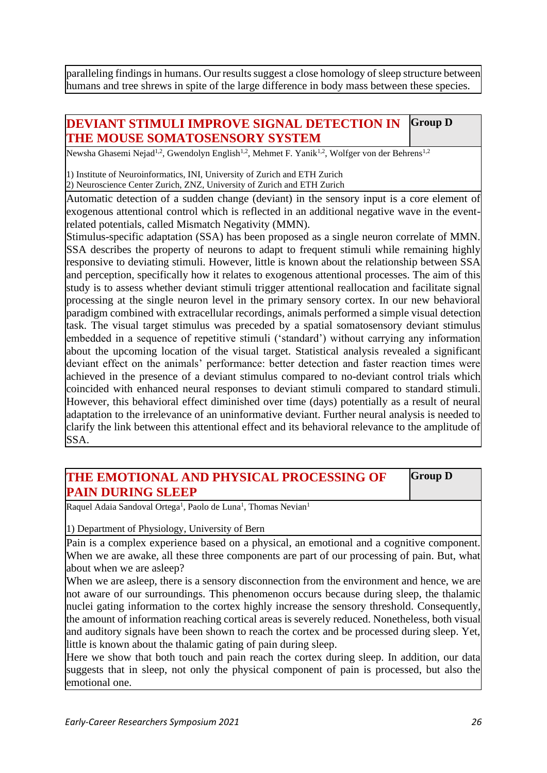paralleling findings in humans. Our results suggest a close homology of sleep structure between humans and tree shrews in spite of the large difference in body mass between these species.

#### **DEVIANT STIMULI IMPROVE SIGNAL DETECTION IN THE MOUSE SOMATOSENSORY SYSTEM Group D**

Newsha Ghasemi Nejad<sup>1,2</sup>, Gwendolyn English<sup>1,2</sup>, Mehmet F. Yanik<sup>1,2</sup>, Wolfger von der Behrens<sup>1,2</sup>

1) Institute of Neuroinformatics, INI, University of Zurich and ETH Zurich

2) Neuroscience Center Zurich, ZNZ, University of Zurich and ETH Zurich

Automatic detection of a sudden change (deviant) in the sensory input is a core element of exogenous attentional control which is reflected in an additional negative wave in the eventrelated potentials, called Mismatch Negativity (MMN).

Stimulus-specific adaptation (SSA) has been proposed as a single neuron correlate of MMN. SSA describes the property of neurons to adapt to frequent stimuli while remaining highly responsive to deviating stimuli. However, little is known about the relationship between SSA and perception, specifically how it relates to exogenous attentional processes. The aim of this study is to assess whether deviant stimuli trigger attentional reallocation and facilitate signal processing at the single neuron level in the primary sensory cortex. In our new behavioral paradigm combined with extracellular recordings, animals performed a simple visual detection task. The visual target stimulus was preceded by a spatial somatosensory deviant stimulus embedded in a sequence of repetitive stimuli ('standard') without carrying any information about the upcoming location of the visual target. Statistical analysis revealed a significant deviant effect on the animals' performance: better detection and faster reaction times were achieved in the presence of a deviant stimulus compared to no-deviant control trials which coincided with enhanced neural responses to deviant stimuli compared to standard stimuli. However, this behavioral effect diminished over time (days) potentially as a result of neural adaptation to the irrelevance of an uninformative deviant. Further neural analysis is needed to clarify the link between this attentional effect and its behavioral relevance to the amplitude of SSA.

## **THE EMOTIONAL AND PHYSICAL PROCESSING OF PAIN DURING SLEEP**

**Group D**

Raquel Adaia Sandoval Ortega<sup>1</sup>, Paolo de Luna<sup>1</sup>, Thomas Nevian<sup>1</sup>

1) Department of Physiology, University of Bern

Pain is a complex experience based on a physical, an emotional and a cognitive component. When we are awake, all these three components are part of our processing of pain. But, what about when we are asleep?

When we are asleep, there is a sensory disconnection from the environment and hence, we are not aware of our surroundings. This phenomenon occurs because during sleep, the thalamic nuclei gating information to the cortex highly increase the sensory threshold. Consequently, the amount of information reaching cortical areas is severely reduced. Nonetheless, both visual and auditory signals have been shown to reach the cortex and be processed during sleep. Yet, little is known about the thalamic gating of pain during sleep.

Here we show that both touch and pain reach the cortex during sleep. In addition, our data suggests that in sleep, not only the physical component of pain is processed, but also the emotional one.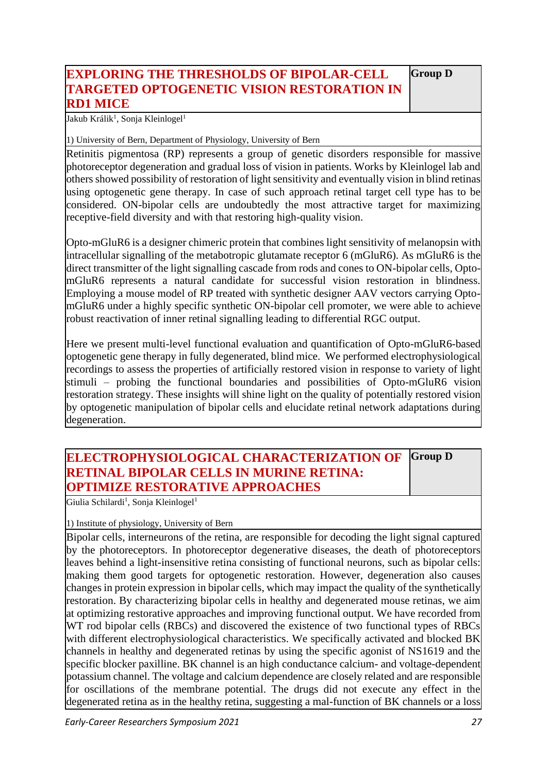#### **EXPLORING THE THRESHOLDS OF BIPOLAR-CELL TARGETED OPTOGENETIC VISION RESTORATION IN RD1 MICE Group D**

Jakub Králik<sup>1</sup>, Sonja Kleinlogel<sup>1</sup>

1) University of Bern, Department of Physiology, University of Bern

Retinitis pigmentosa (RP) represents a group of genetic disorders responsible for massive photoreceptor degeneration and gradual loss of vision in patients. Works by Kleinlogel lab and others showed possibility of restoration of light sensitivity and eventually vision in blind retinas using optogenetic gene therapy. In case of such approach retinal target cell type has to be considered. ON-bipolar cells are undoubtedly the most attractive target for maximizing receptive-field diversity and with that restoring high-quality vision.

Opto-mGluR6 is a designer chimeric protein that combines light sensitivity of melanopsin with intracellular signalling of the metabotropic glutamate receptor 6 (mGluR6). As mGluR6 is the direct transmitter of the light signalling cascade from rods and cones to ON-bipolar cells, OptomGluR6 represents a natural candidate for successful vision restoration in blindness. Employing a mouse model of RP treated with synthetic designer AAV vectors carrying OptomGluR6 under a highly specific synthetic ON-bipolar cell promoter, we were able to achieve robust reactivation of inner retinal signalling leading to differential RGC output.

Here we present multi-level functional evaluation and quantification of Opto-mGluR6-based optogenetic gene therapy in fully degenerated, blind mice. We performed electrophysiological recordings to assess the properties of artificially restored vision in response to variety of light stimuli – probing the functional boundaries and possibilities of Opto-mGluR6 vision restoration strategy. These insights will shine light on the quality of potentially restored vision by optogenetic manipulation of bipolar cells and elucidate retinal network adaptations during degeneration.

#### **ELECTROPHYSIOLOGICAL CHARACTERIZATION OF RETINAL BIPOLAR CELLS IN MURINE RETINA: OPTIMIZE RESTORATIVE APPROACHES Group D**

Giulia Schilardi<sup>1</sup>, Sonja Kleinlogel<sup>1</sup>

#### 1) Institute of physiology, University of Bern

Bipolar cells, interneurons of the retina, are responsible for decoding the light signal captured by the photoreceptors. In photoreceptor degenerative diseases, the death of photoreceptors leaves behind a light-insensitive retina consisting of functional neurons, such as bipolar cells: making them good targets for optogenetic restoration. However, degeneration also causes changes in protein expression in bipolar cells, which may impact the quality of the synthetically restoration. By characterizing bipolar cells in healthy and degenerated mouse retinas, we aim at optimizing restorative approaches and improving functional output. We have recorded from WT rod bipolar cells (RBCs) and discovered the existence of two functional types of RBCs with different electrophysiological characteristics. We specifically activated and blocked BK channels in healthy and degenerated retinas by using the specific agonist of NS1619 and the specific blocker paxilline. BK channel is an high conductance calcium- and voltage-dependent potassium channel. The voltage and calcium dependence are closely related and are responsible for oscillations of the membrane potential. The drugs did not execute any effect in the degenerated retina as in the healthy retina, suggesting a mal-function of BK channels or a loss